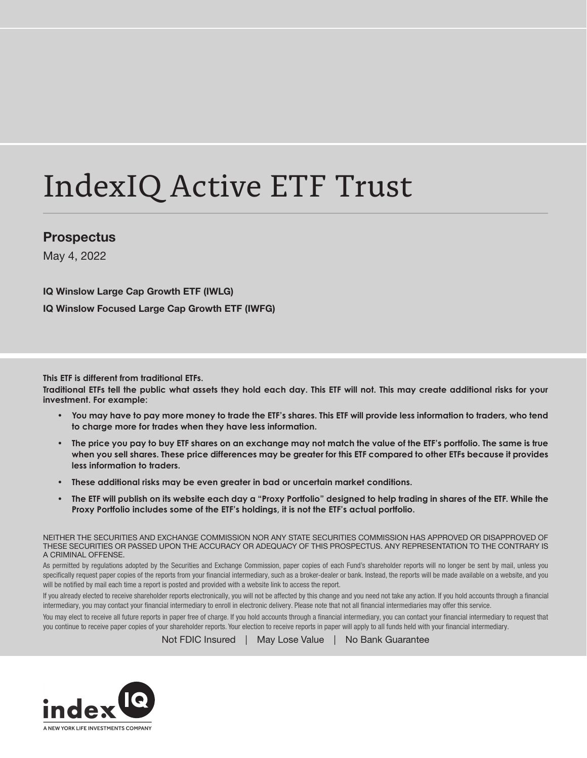# IndexIQ Active ETF Trust

# Prospectus

May 4, 2022

IQ Winslow Large Cap Growth ETF (IWLG) IQ Winslow Focused Large Cap Growth ETF (IWFG)

**This ETF is different from traditional ETFs.**

**Traditional ETFs tell the public what assets they hold each day. This ETF will not. This may create additional risks for your investment. For example:**

- **You may have to pay more money to trade the ETF's shares. This ETF will provide less information to traders, who tend to charge more for trades when they have less information.**
- **The price you pay to buy ETF shares on an exchange may not match the value of the ETF's portfolio. The same is true when you sell shares. These price differences may be greater for this ETF compared to other ETFs because it provides less information to traders.**
- **These additional risks may be even greater in bad or uncertain market conditions.**
- **The ETF will publish on its website each day a "Proxy Portfolio" designed to help trading in shares of the ETF. While the Proxy Portfolio includes some of the ETF's holdings, it is not the ETF's actual portfolio.**

NEITHER THE SECURITIES AND EXCHANGE COMMISSION NOR ANY STATE SECURITIES COMMISSION HAS APPROVED OR DISAPPROVED OF THESE SECURITIES OR PASSED UPON THE ACCURACY OR ADEQUACY OF THIS PROSPECTUS. ANY REPRESENTATION TO THE CONTRARY IS A CRIMINAL OFFENSE.

As permitted by regulations adopted by the Securities and Exchange Commission, paper copies of each Fund's shareholder reports will no longer be sent by mail, unless you specifically request paper copies of the reports from your financial intermediary, such as a broker-dealer or bank. Instead, the reports will be made available on a website, and you will be notified by mail each time a report is posted and provided with a website link to access the report.

If you already elected to receive shareholder reports electronically, you will not be affected by this change and you need not take any action. If you hold accounts through a financial intermediary, you may contact your financial intermediary to enroll in electronic delivery. Please note that not all financial intermediaries may offer this service.

You may elect to receive all future reports in paper free of charge. If you hold accounts through a financial intermediary, you can contact your financial intermediary to request that you continue to receive paper copies of your shareholder reports. Your election to receive reports in paper will apply to all funds held with your financial intermediary.

Not FDIC Insured | May Lose Value | No Bank Guarantee

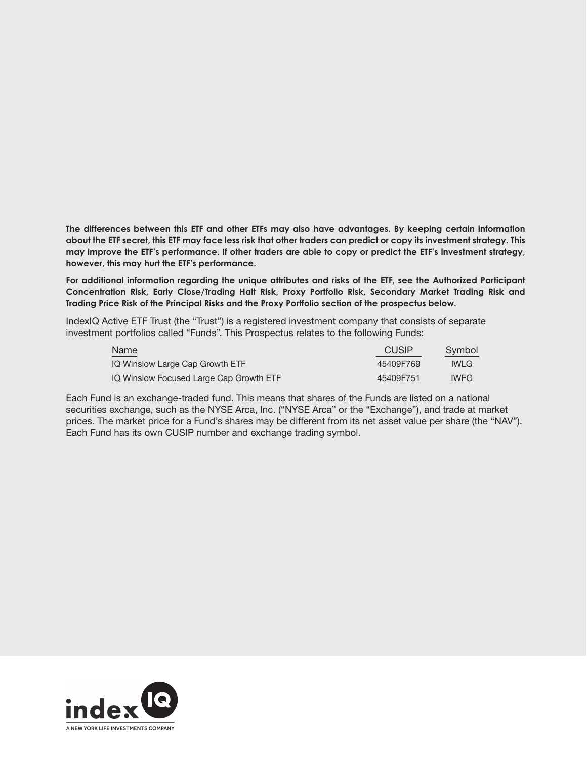**The differences between this ETF and other ETFs may also have advantages. By keeping certain information about the ETF secret, this ETF may face less risk that other traders can predict or copy its investment strategy. This may improve the ETF's performance. If other traders are able to copy or predict the ETF's investment strategy, however, this may hurt the ETF's performance.**

**For additional information regarding the unique attributes and risks of the ETF, see the Authorized Participant Concentration Risk, Early Close/Trading Halt Risk, Proxy Portfolio Risk, Secondary Market Trading Risk and Trading Price Risk of the Principal Risks and the Proxy Portfolio section of the prospectus below.**

IndexIQ Active ETF Trust (the "Trust") is a registered investment company that consists of separate investment portfolios called "Funds". This Prospectus relates to the following Funds:

| Name                                    | <b>CUSIP</b> | Symbol      |
|-----------------------------------------|--------------|-------------|
| IQ Winslow Large Cap Growth ETF         | 45409F769    | <b>IWLG</b> |
| IQ Winslow Focused Large Cap Growth ETF | 45409F751    | <b>IWFG</b> |

Each Fund is an exchange-traded fund. This means that shares of the Funds are listed on a national securities exchange, such as the NYSE Arca, Inc. ("NYSE Arca" or the "Exchange"), and trade at market prices. The market price for a Fund's shares may be different from its net asset value per share (the "NAV"). Each Fund has its own CUSIP number and exchange trading symbol.

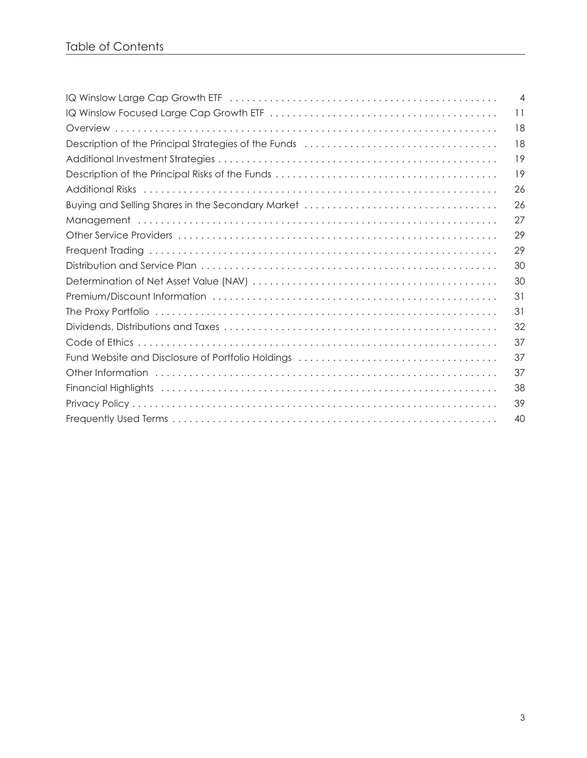|                                                                                                               | $\overline{4}$ |
|---------------------------------------------------------------------------------------------------------------|----------------|
|                                                                                                               | 11             |
|                                                                                                               | 18             |
|                                                                                                               | 18             |
|                                                                                                               | 19             |
|                                                                                                               | 19             |
| Additional Risks (and according to the control of the control of the control of the control of the control of | 26             |
|                                                                                                               | 26             |
|                                                                                                               | 27             |
|                                                                                                               | 29             |
|                                                                                                               | 29             |
|                                                                                                               | 30             |
|                                                                                                               | 30             |
|                                                                                                               | 31             |
|                                                                                                               | 31             |
|                                                                                                               | 32             |
|                                                                                                               | 37             |
|                                                                                                               | 37             |
|                                                                                                               | 37             |
|                                                                                                               | 38             |
|                                                                                                               | 39             |
|                                                                                                               | 40             |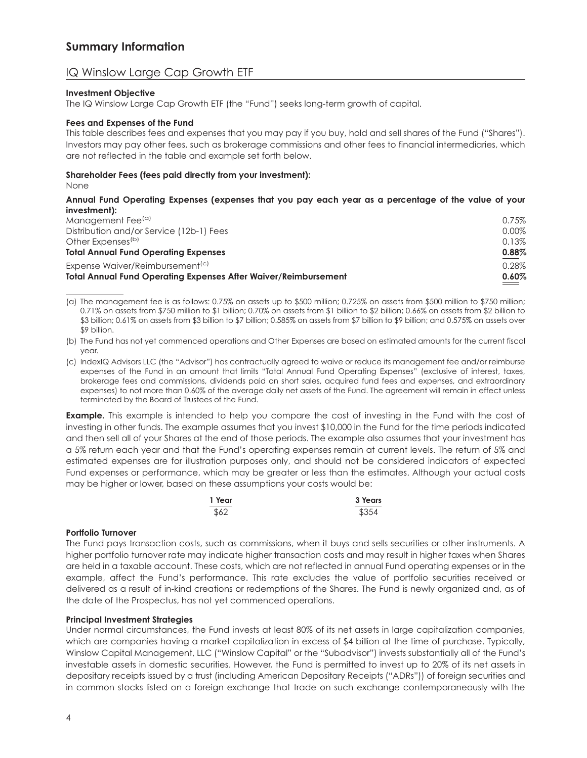# IQ Winslow Large Cap Growth ETF

#### **Investment Objective**

The IQ Winslow Large Cap Growth ETF (the "Fund") seeks long-term growth of capital.

#### **Fees and Expenses of the Fund**

This table describes fees and expenses that you may pay if you buy, hold and sell shares of the Fund ("Shares"). Investors may pay other fees, such as brokerage commissions and other fees to financial intermediaries, which are not reflected in the table and example set forth below.

#### **Shareholder Fees (fees paid directly from your investment):**

None

#### **Annual Fund Operating Expenses (expenses that you pay each year as a percentage of the value of your investment):**

| <b>Total Annual Fund Operating Expenses After Waiver/Reimbursement</b> |       |
|------------------------------------------------------------------------|-------|
| Expense Waiver/Reimbursement <sup>(c)</sup>                            | 0.28% |
| <b>Total Annual Fund Operating Expenses</b>                            | 0.88% |
| Other Expenses <sup>(b)</sup>                                          | 0.13% |
| Distribution and/or Service (12b-1) Fees                               | 0.00% |
| Management Fee <sup>(a)</sup>                                          | 0.75% |

(a) The management fee is as follows: 0.75% on assets up to \$500 million; 0.725% on assets from \$500 million to \$750 million; 0.71% on assets from \$750 million to \$1 billion; 0.70% on assets from \$1 billion to \$2 billion; 0.66% on assets from \$2 billion to \$3 billion; 0.61% on assets from \$3 billion to \$7 billion; 0.585% on assets from \$7 billion to \$9 billion; and 0.575% on assets over \$9 billion.

(b) The Fund has not yet commenced operations and Other Expenses are based on estimated amounts for the current fiscal year.

(c) IndexIQ Advisors LLC (the "Advisor") has contractually agreed to waive or reduce its management fee and/or reimburse expenses of the Fund in an amount that limits "Total Annual Fund Operating Expenses" (exclusive of interest, taxes, brokerage fees and commissions, dividends paid on short sales, acquired fund fees and expenses, and extraordinary expenses) to not more than 0.60% of the average daily net assets of the Fund. The agreement will remain in effect unless terminated by the Board of Trustees of the Fund.

**Example.** This example is intended to help you compare the cost of investing in the Fund with the cost of investing in other funds. The example assumes that you invest \$10,000 in the Fund for the time periods indicated and then sell all of your Shares at the end of those periods. The example also assumes that your investment has a 5% return each year and that the Fund's operating expenses remain at current levels. The return of 5% and estimated expenses are for illustration purposes only, and should not be considered indicators of expected Fund expenses or performance, which may be greater or less than the estimates. Although your actual costs may be higher or lower, based on these assumptions your costs would be:

| 1 Year | 3 Years |
|--------|---------|
| \$62   | \$354   |

#### **Portfolio Turnover**

The Fund pays transaction costs, such as commissions, when it buys and sells securities or other instruments. A higher portfolio turnover rate may indicate higher transaction costs and may result in higher taxes when Shares are held in a taxable account. These costs, which are not reflected in annual Fund operating expenses or in the example, affect the Fund's performance. This rate excludes the value of portfolio securities received or delivered as a result of in-kind creations or redemptions of the Shares. The Fund is newly organized and, as of the date of the Prospectus, has not yet commenced operations.

#### **Principal Investment Strategies**

Under normal circumstances, the Fund invests at least 80% of its net assets in large capitalization companies, which are companies having a market capitalization in excess of \$4 billion at the time of purchase. Typically, Winslow Capital Management, LLC ("Winslow Capital" or the "Subadvisor") invests substantially all of the Fund's investable assets in domestic securities. However, the Fund is permitted to invest up to 20% of its net assets in depositary receipts issued by a trust (including American Depositary Receipts ("ADRs")) of foreign securities and in common stocks listed on a foreign exchange that trade on such exchange contemporaneously with the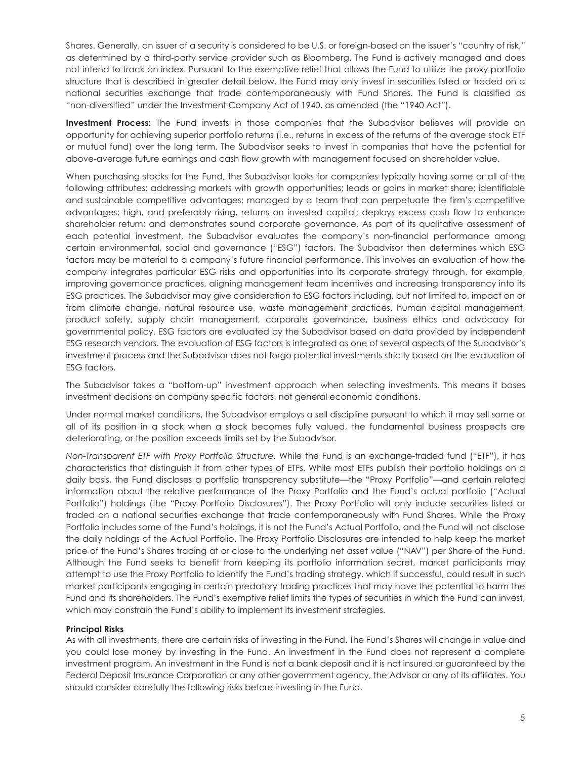Shares. Generally, an issuer of a security is considered to be U.S. or foreign-based on the issuer's "country of risk," as determined by a third-party service provider such as Bloomberg. The Fund is actively managed and does not intend to track an index. Pursuant to the exemptive relief that allows the Fund to utilize the proxy portfolio structure that is described in greater detail below, the Fund may only invest in securities listed or traded on a national securities exchange that trade contemporaneously with Fund Shares. The Fund is classified as "non-diversified" under the Investment Company Act of 1940, as amended (the "1940 Act").

**Investment Process:** The Fund invests in those companies that the Subadvisor believes will provide an opportunity for achieving superior portfolio returns (i.e., returns in excess of the returns of the average stock ETF or mutual fund) over the long term. The Subadvisor seeks to invest in companies that have the potential for above-average future earnings and cash flow growth with management focused on shareholder value.

When purchasing stocks for the Fund, the Subadvisor looks for companies typically having some or all of the following attributes: addressing markets with growth opportunities; leads or gains in market share; identifiable and sustainable competitive advantages; managed by a team that can perpetuate the firm's competitive advantages; high, and preferably rising, returns on invested capital; deploys excess cash flow to enhance shareholder return; and demonstrates sound corporate governance. As part of its qualitative assessment of each potential investment, the Subadvisor evaluates the company's non-financial performance among certain environmental, social and governance ("ESG") factors. The Subadvisor then determines which ESG factors may be material to a company's future financial performance. This involves an evaluation of how the company integrates particular ESG risks and opportunities into its corporate strategy through, for example, improving governance practices, aligning management team incentives and increasing transparency into its ESG practices. The Subadvisor may give consideration to ESG factors including, but not limited to, impact on or from climate change, natural resource use, waste management practices, human capital management, product safety, supply chain management, corporate governance, business ethics and advocacy for governmental policy. ESG factors are evaluated by the Subadvisor based on data provided by independent ESG research vendors. The evaluation of ESG factors is integrated as one of several aspects of the Subadvisor's investment process and the Subadvisor does not forgo potential investments strictly based on the evaluation of ESG factors.

The Subadvisor takes a "bottom-up" investment approach when selecting investments. This means it bases investment decisions on company specific factors, not general economic conditions.

Under normal market conditions, the Subadvisor employs a sell discipline pursuant to which it may sell some or all of its position in a stock when a stock becomes fully valued, the fundamental business prospects are deteriorating, or the position exceeds limits set by the Subadvisor.

*Non-Transparent ETF with Proxy Portfolio Structure.* While the Fund is an exchange-traded fund ("ETF"), it has characteristics that distinguish it from other types of ETFs. While most ETFs publish their portfolio holdings on a daily basis, the Fund discloses a portfolio transparency substitute—the "Proxy Portfolio"—and certain related information about the relative performance of the Proxy Portfolio and the Fund's actual portfolio ("Actual Portfolio") holdings (the "Proxy Portfolio Disclosures"). The Proxy Portfolio will only include securities listed or traded on a national securities exchange that trade contemporaneously with Fund Shares. While the Proxy Portfolio includes some of the Fund's holdings, it is not the Fund's Actual Portfolio, and the Fund will not disclose the daily holdings of the Actual Portfolio. The Proxy Portfolio Disclosures are intended to help keep the market price of the Fund's Shares trading at or close to the underlying net asset value ("NAV") per Share of the Fund. Although the Fund seeks to benefit from keeping its portfolio information secret, market participants may attempt to use the Proxy Portfolio to identify the Fund's trading strategy, which if successful, could result in such market participants engaging in certain predatory trading practices that may have the potential to harm the Fund and its shareholders. The Fund's exemptive relief limits the types of securities in which the Fund can invest, which may constrain the Fund's ability to implement its investment strategies.

#### **Principal Risks**

As with all investments, there are certain risks of investing in the Fund. The Fund's Shares will change in value and you could lose money by investing in the Fund. An investment in the Fund does not represent a complete investment program. An investment in the Fund is not a bank deposit and it is not insured or guaranteed by the Federal Deposit Insurance Corporation or any other government agency, the Advisor or any of its affiliates. You should consider carefully the following risks before investing in the Fund.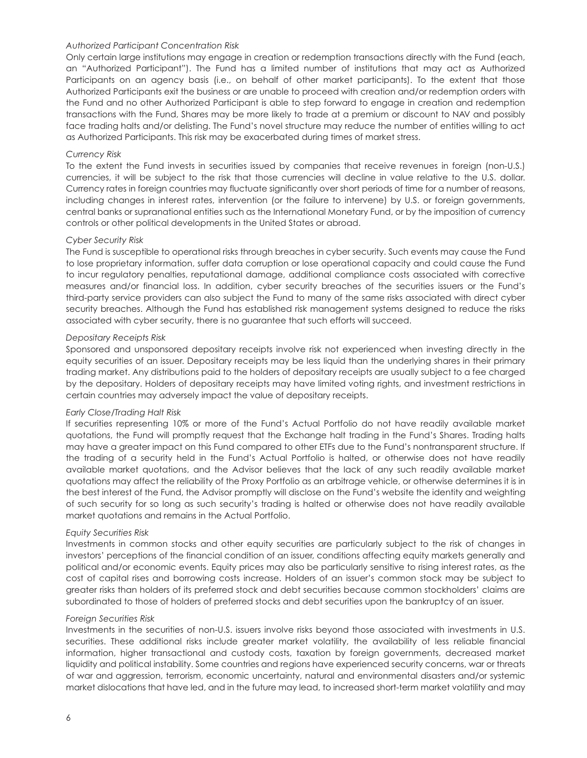#### *Authorized Participant Concentration Risk*

Only certain large institutions may engage in creation or redemption transactions directly with the Fund (each, an "Authorized Participant"). The Fund has a limited number of institutions that may act as Authorized Participants on an agency basis (i.e., on behalf of other market participants). To the extent that those Authorized Participants exit the business or are unable to proceed with creation and/or redemption orders with the Fund and no other Authorized Participant is able to step forward to engage in creation and redemption transactions with the Fund, Shares may be more likely to trade at a premium or discount to NAV and possibly face trading halts and/or delisting. The Fund's novel structure may reduce the number of entities willing to act as Authorized Participants. This risk may be exacerbated during times of market stress.

#### *Currency Risk*

To the extent the Fund invests in securities issued by companies that receive revenues in foreign (non-U.S.) currencies, it will be subject to the risk that those currencies will decline in value relative to the U.S. dollar. Currency rates in foreign countries may fluctuate significantly over short periods of time for a number of reasons, including changes in interest rates, intervention (or the failure to intervene) by U.S. or foreign governments, central banks or supranational entities such as the International Monetary Fund, or by the imposition of currency controls or other political developments in the United States or abroad.

#### *Cyber Security Risk*

The Fund is susceptible to operational risks through breaches in cyber security. Such events may cause the Fund to lose proprietary information, suffer data corruption or lose operational capacity and could cause the Fund to incur regulatory penalties, reputational damage, additional compliance costs associated with corrective measures and/or financial loss. In addition, cyber security breaches of the securities issuers or the Fund's third-party service providers can also subject the Fund to many of the same risks associated with direct cyber security breaches. Although the Fund has established risk management systems designed to reduce the risks associated with cyber security, there is no guarantee that such efforts will succeed.

#### *Depositary Receipts Risk*

Sponsored and unsponsored depositary receipts involve risk not experienced when investing directly in the equity securities of an issuer. Depositary receipts may be less liquid than the underlying shares in their primary trading market. Any distributions paid to the holders of depositary receipts are usually subject to a fee charged by the depositary. Holders of depositary receipts may have limited voting rights, and investment restrictions in certain countries may adversely impact the value of depositary receipts.

#### *Early Close/Trading Halt Risk*

If securities representing 10% or more of the Fund's Actual Portfolio do not have readily available market quotations, the Fund will promptly request that the Exchange halt trading in the Fund's Shares. Trading halts may have a greater impact on this Fund compared to other ETFs due to the Fund's nontransparent structure. If the trading of a security held in the Fund's Actual Portfolio is halted, or otherwise does not have readily available market quotations, and the Advisor believes that the lack of any such readily available market quotations may affect the reliability of the Proxy Portfolio as an arbitrage vehicle, or otherwise determines it is in the best interest of the Fund, the Advisor promptly will disclose on the Fund's website the identity and weighting of such security for so long as such security's trading is halted or otherwise does not have readily available market quotations and remains in the Actual Portfolio.

#### *Equity Securities Risk*

Investments in common stocks and other equity securities are particularly subject to the risk of changes in investors' perceptions of the financial condition of an issuer, conditions affecting equity markets generally and political and/or economic events. Equity prices may also be particularly sensitive to rising interest rates, as the cost of capital rises and borrowing costs increase. Holders of an issuer's common stock may be subject to greater risks than holders of its preferred stock and debt securities because common stockholders' claims are subordinated to those of holders of preferred stocks and debt securities upon the bankruptcy of an issuer.

#### *Foreign Securities Risk*

Investments in the securities of non-U.S. issuers involve risks beyond those associated with investments in U.S. securities. These additional risks include greater market volatility, the availability of less reliable financial information, higher transactional and custody costs, taxation by foreign governments, decreased market liquidity and political instability. Some countries and regions have experienced security concerns, war or threats of war and aggression, terrorism, economic uncertainty, natural and environmental disasters and/or systemic market dislocations that have led, and in the future may lead, to increased short-term market volatility and may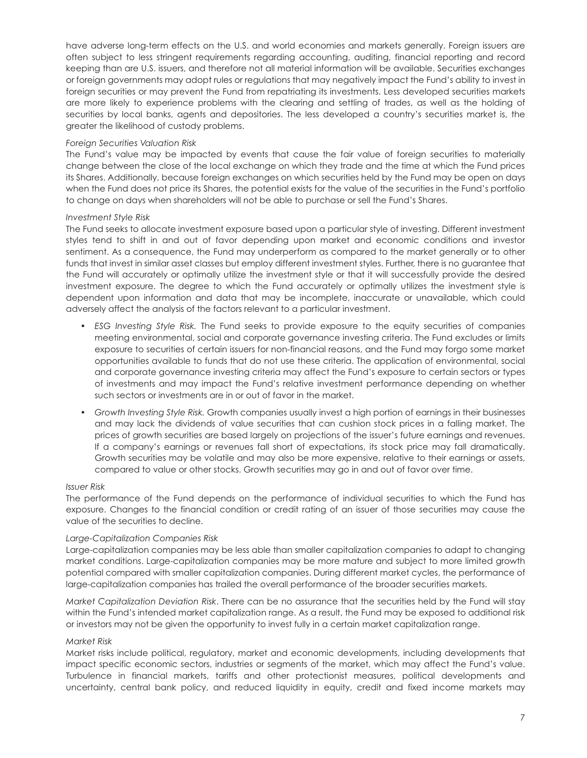have adverse long-term effects on the U.S. and world economies and markets generally. Foreign issuers are often subject to less stringent requirements regarding accounting, auditing, financial reporting and record keeping than are U.S. issuers, and therefore not all material information will be available. Securities exchanges or foreign governments may adopt rules or regulations that may negatively impact the Fund's ability to invest in foreign securities or may prevent the Fund from repatriating its investments. Less developed securities markets are more likely to experience problems with the clearing and settling of trades, as well as the holding of securities by local banks, agents and depositories. The less developed a country's securities market is, the greater the likelihood of custody problems.

#### *Foreign Securities Valuation Risk*

The Fund's value may be impacted by events that cause the fair value of foreign securities to materially change between the close of the local exchange on which they trade and the time at which the Fund prices its Shares. Additionally, because foreign exchanges on which securities held by the Fund may be open on days when the Fund does not price its Shares, the potential exists for the value of the securities in the Fund's portfolio to change on days when shareholders will not be able to purchase or sell the Fund's Shares.

#### *Investment Style Risk*

The Fund seeks to allocate investment exposure based upon a particular style of investing. Different investment styles tend to shift in and out of favor depending upon market and economic conditions and investor sentiment. As a consequence, the Fund may underperform as compared to the market generally or to other funds that invest in similar asset classes but employ different investment styles. Further, there is no guarantee that the Fund will accurately or optimally utilize the investment style or that it will successfully provide the desired investment exposure. The degree to which the Fund accurately or optimally utilizes the investment style is dependent upon information and data that may be incomplete, inaccurate or unavailable, which could adversely affect the analysis of the factors relevant to a particular investment.

- *ESG Investing Style Risk.* The Fund seeks to provide exposure to the equity securities of companies meeting environmental, social and corporate governance investing criteria. The Fund excludes or limits exposure to securities of certain issuers for non-financial reasons, and the Fund may forgo some market opportunities available to funds that do not use these criteria. The application of environmental, social and corporate governance investing criteria may affect the Fund's exposure to certain sectors or types of investments and may impact the Fund's relative investment performance depending on whether such sectors or investments are in or out of favor in the market.
- *Growth Investing Style Risk.* Growth companies usually invest a high portion of earnings in their businesses and may lack the dividends of value securities that can cushion stock prices in a falling market. The prices of growth securities are based largely on projections of the issuer's future earnings and revenues. If a company's earnings or revenues fall short of expectations, its stock price may fall dramatically. Growth securities may be volatile and may also be more expensive, relative to their earnings or assets, compared to value or other stocks. Growth securities may go in and out of favor over time.

#### *Issuer Risk*

The performance of the Fund depends on the performance of individual securities to which the Fund has exposure. Changes to the financial condition or credit rating of an issuer of those securities may cause the value of the securities to decline.

#### *Large-Capitalization Companies Risk*

Large-capitalization companies may be less able than smaller capitalization companies to adapt to changing market conditions. Large-capitalization companies may be more mature and subject to more limited growth potential compared with smaller capitalization companies. During different market cycles, the performance of large-capitalization companies has trailed the overall performance of the broader securities markets.

*Market Capitalization Deviation Risk*. There can be no assurance that the securities held by the Fund will stay within the Fund's intended market capitalization range. As a result, the Fund may be exposed to additional risk or investors may not be given the opportunity to invest fully in a certain market capitalization range.

#### *Market Risk*

Market risks include political, regulatory, market and economic developments, including developments that impact specific economic sectors, industries or segments of the market, which may affect the Fund's value. Turbulence in financial markets, tariffs and other protectionist measures, political developments and uncertainty, central bank policy, and reduced liquidity in equity, credit and fixed income markets may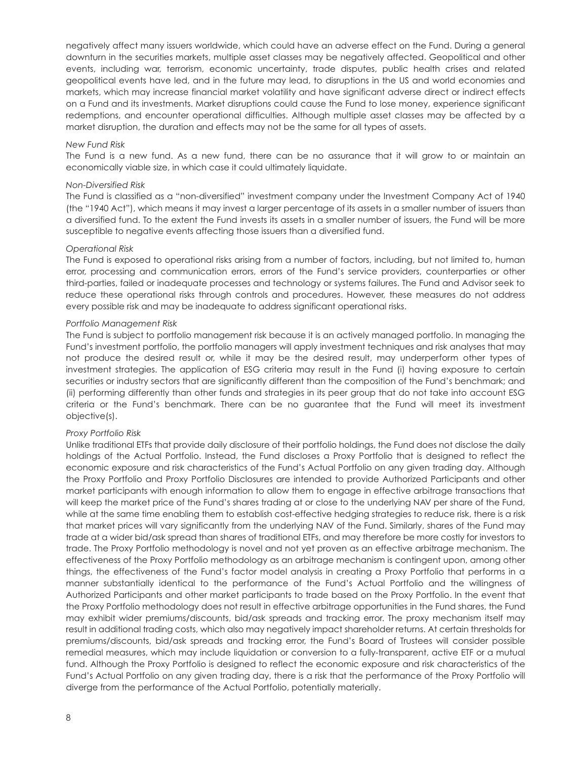negatively affect many issuers worldwide, which could have an adverse effect on the Fund. During a general downturn in the securities markets, multiple asset classes may be negatively affected. Geopolitical and other events, including war, terrorism, economic uncertainty, trade disputes, public health crises and related geopolitical events have led, and in the future may lead, to disruptions in the US and world economies and markets, which may increase financial market volatility and have significant adverse direct or indirect effects on a Fund and its investments. Market disruptions could cause the Fund to lose money, experience significant redemptions, and encounter operational difficulties. Although multiple asset classes may be affected by a market disruption, the duration and effects may not be the same for all types of assets.

#### *New Fund Risk*

The Fund is a new fund. As a new fund, there can be no assurance that it will grow to or maintain an economically viable size, in which case it could ultimately liquidate.

#### *Non-Diversified Risk*

The Fund is classified as a "non-diversified" investment company under the Investment Company Act of 1940 (the "1940 Act"), which means it may invest a larger percentage of its assets in a smaller number of issuers than a diversified fund. To the extent the Fund invests its assets in a smaller number of issuers, the Fund will be more susceptible to negative events affecting those issuers than a diversified fund.

#### *Operational Risk*

The Fund is exposed to operational risks arising from a number of factors, including, but not limited to, human error, processing and communication errors, errors of the Fund's service providers, counterparties or other third-parties, failed or inadequate processes and technology or systems failures. The Fund and Advisor seek to reduce these operational risks through controls and procedures. However, these measures do not address every possible risk and may be inadequate to address significant operational risks.

#### *Portfolio Management Risk*

The Fund is subject to portfolio management risk because it is an actively managed portfolio. In managing the Fund's investment portfolio, the portfolio managers will apply investment techniques and risk analyses that may not produce the desired result or, while it may be the desired result, may underperform other types of investment strategies. The application of ESG criteria may result in the Fund (i) having exposure to certain securities or industry sectors that are significantly different than the composition of the Fund's benchmark; and (ii) performing differently than other funds and strategies in its peer group that do not take into account ESG criteria or the Fund's benchmark. There can be no guarantee that the Fund will meet its investment objective(s).

#### *Proxy Portfolio Risk*

Unlike traditional ETFs that provide daily disclosure of their portfolio holdings, the Fund does not disclose the daily holdings of the Actual Portfolio. Instead, the Fund discloses a Proxy Portfolio that is designed to reflect the economic exposure and risk characteristics of the Fund's Actual Portfolio on any given trading day. Although the Proxy Portfolio and Proxy Portfolio Disclosures are intended to provide Authorized Participants and other market participants with enough information to allow them to engage in effective arbitrage transactions that will keep the market price of the Fund's shares trading at or close to the underlying NAV per share of the Fund, while at the same time enabling them to establish cost-effective hedging strategies to reduce risk, there is a risk that market prices will vary significantly from the underlying NAV of the Fund. Similarly, shares of the Fund may trade at a wider bid/ask spread than shares of traditional ETFs, and may therefore be more costly for investors to trade. The Proxy Portfolio methodology is novel and not yet proven as an effective arbitrage mechanism. The effectiveness of the Proxy Portfolio methodology as an arbitrage mechanism is contingent upon, among other things, the effectiveness of the Fund's factor model analysis in creating a Proxy Portfolio that performs in a manner substantially identical to the performance of the Fund's Actual Portfolio and the willingness of Authorized Participants and other market participants to trade based on the Proxy Portfolio. In the event that the Proxy Portfolio methodology does not result in effective arbitrage opportunities in the Fund shares, the Fund may exhibit wider premiums/discounts, bid/ask spreads and tracking error. The proxy mechanism itself may result in additional trading costs, which also may negatively impact shareholder returns. At certain thresholds for premiums/discounts, bid/ask spreads and tracking error, the Fund's Board of Trustees will consider possible remedial measures, which may include liquidation or conversion to a fully-transparent, active ETF or a mutual fund. Although the Proxy Portfolio is designed to reflect the economic exposure and risk characteristics of the Fund's Actual Portfolio on any given trading day, there is a risk that the performance of the Proxy Portfolio will diverge from the performance of the Actual Portfolio, potentially materially.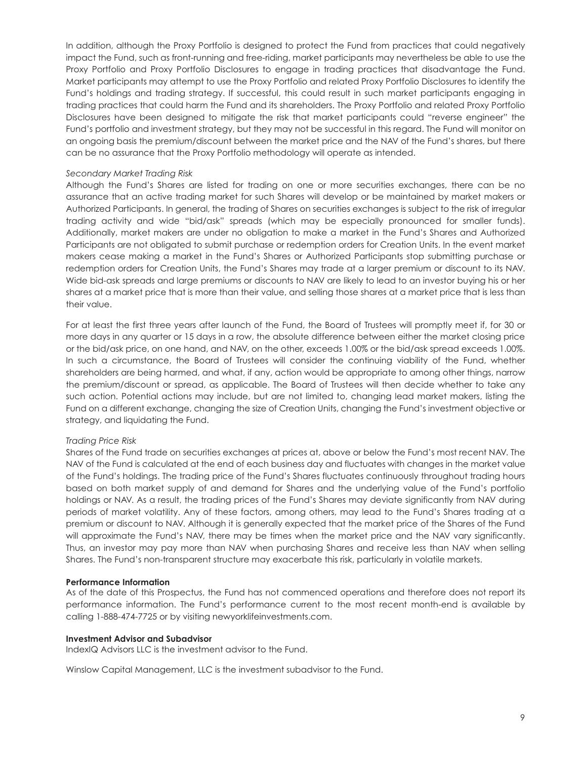In addition, although the Proxy Portfolio is designed to protect the Fund from practices that could negatively impact the Fund, such as front-running and free-riding, market participants may nevertheless be able to use the Proxy Portfolio and Proxy Portfolio Disclosures to engage in trading practices that disadvantage the Fund. Market participants may attempt to use the Proxy Portfolio and related Proxy Portfolio Disclosures to identify the Fund's holdings and trading strategy. If successful, this could result in such market participants engaging in trading practices that could harm the Fund and its shareholders. The Proxy Portfolio and related Proxy Portfolio Disclosures have been designed to mitigate the risk that market participants could "reverse engineer" the Fund's portfolio and investment strategy, but they may not be successful in this regard. The Fund will monitor on an ongoing basis the premium/discount between the market price and the NAV of the Fund's shares, but there can be no assurance that the Proxy Portfolio methodology will operate as intended.

#### *Secondary Market Trading Risk*

Although the Fund's Shares are listed for trading on one or more securities exchanges, there can be no assurance that an active trading market for such Shares will develop or be maintained by market makers or Authorized Participants. In general, the trading of Shares on securities exchanges is subject to the risk of irregular trading activity and wide "bid/ask" spreads (which may be especially pronounced for smaller funds). Additionally, market makers are under no obligation to make a market in the Fund's Shares and Authorized Participants are not obligated to submit purchase or redemption orders for Creation Units. In the event market makers cease making a market in the Fund's Shares or Authorized Participants stop submitting purchase or redemption orders for Creation Units, the Fund's Shares may trade at a larger premium or discount to its NAV. Wide bid-ask spreads and large premiums or discounts to NAV are likely to lead to an investor buying his or her shares at a market price that is more than their value, and selling those shares at a market price that is less than their value.

For at least the first three years after launch of the Fund, the Board of Trustees will promptly meet if, for 30 or more days in any quarter or 15 days in a row, the absolute difference between either the market closing price or the bid/ask price, on one hand, and NAV, on the other, exceeds 1.00% or the bid/ask spread exceeds 1.00%. In such a circumstance, the Board of Trustees will consider the continuing viability of the Fund, whether shareholders are being harmed, and what, if any, action would be appropriate to among other things, narrow the premium/discount or spread, as applicable. The Board of Trustees will then decide whether to take any such action. Potential actions may include, but are not limited to, changing lead market makers, listing the Fund on a different exchange, changing the size of Creation Units, changing the Fund's investment objective or strategy, and liquidating the Fund.

#### *Trading Price Risk*

Shares of the Fund trade on securities exchanges at prices at, above or below the Fund's most recent NAV. The NAV of the Fund is calculated at the end of each business day and fluctuates with changes in the market value of the Fund's holdings. The trading price of the Fund's Shares fluctuates continuously throughout trading hours based on both market supply of and demand for Shares and the underlying value of the Fund's portfolio holdings or NAV. As a result, the trading prices of the Fund's Shares may deviate significantly from NAV during periods of market volatility. Any of these factors, among others, may lead to the Fund's Shares trading at a premium or discount to NAV. Although it is generally expected that the market price of the Shares of the Fund will approximate the Fund's NAV, there may be times when the market price and the NAV vary significantly. Thus, an investor may pay more than NAV when purchasing Shares and receive less than NAV when selling Shares. The Fund's non-transparent structure may exacerbate this risk, particularly in volatile markets.

#### **Performance Information**

As of the date of this Prospectus, the Fund has not commenced operations and therefore does not report its performance information. The Fund's performance current to the most recent month-end is available by calling 1-888-474-7725 or by visiting newyorklifeinvestments.com.

#### **Investment Advisor and Subadvisor**

IndexIQ Advisors LLC is the investment advisor to the Fund.

Winslow Capital Management, LLC is the investment subadvisor to the Fund.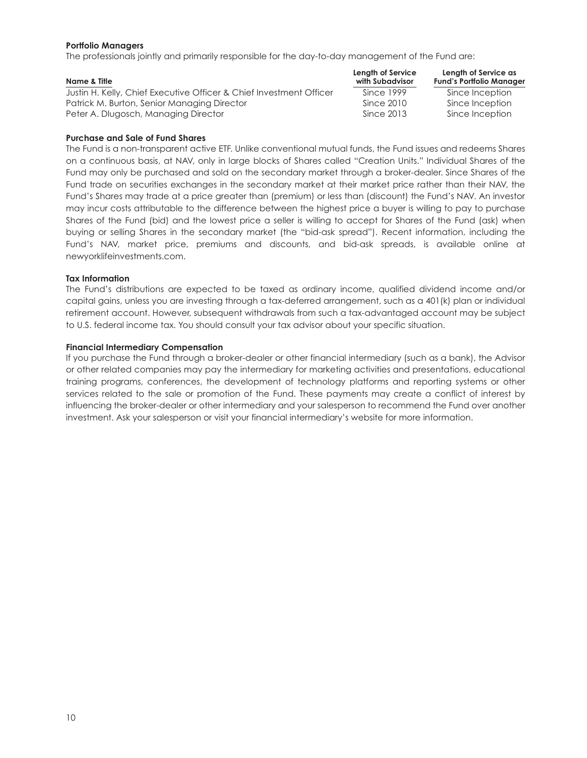#### **Portfolio Managers**

The professionals jointly and primarily responsible for the day-to-day management of the Fund are:

| Name & Title                                                        | Length of Service<br>with Subadvisor | Length of Service as<br><b>Fund's Portfolio Manager</b> |
|---------------------------------------------------------------------|--------------------------------------|---------------------------------------------------------|
| Justin H. Kelly, Chief Executive Officer & Chief Investment Officer | Since 1999                           | Since Inception                                         |
| Patrick M. Burton, Senior Managing Director                         | Since 2010                           | Since Inception                                         |
| Peter A. Dlugosch, Managing Director                                | Since 2013                           | Since Inception                                         |

#### **Purchase and Sale of Fund Shares**

The Fund is a non-transparent active ETF. Unlike conventional mutual funds, the Fund issues and redeems Shares on a continuous basis, at NAV, only in large blocks of Shares called "Creation Units." Individual Shares of the Fund may only be purchased and sold on the secondary market through a broker-dealer. Since Shares of the Fund trade on securities exchanges in the secondary market at their market price rather than their NAV, the Fund's Shares may trade at a price greater than (premium) or less than (discount) the Fund's NAV. An investor may incur costs attributable to the difference between the highest price a buyer is willing to pay to purchase Shares of the Fund (bid) and the lowest price a seller is willing to accept for Shares of the Fund (ask) when buying or selling Shares in the secondary market (the "bid-ask spread"). Recent information, including the Fund's NAV, market price, premiums and discounts, and bid-ask spreads, is available online at newyorklifeinvestments.com.

#### **Tax Information**

The Fund's distributions are expected to be taxed as ordinary income, qualified dividend income and/or capital gains, unless you are investing through a tax-deferred arrangement, such as a 401(k) plan or individual retirement account. However, subsequent withdrawals from such a tax-advantaged account may be subject to U.S. federal income tax. You should consult your tax advisor about your specific situation.

#### **Financial Intermediary Compensation**

If you purchase the Fund through a broker-dealer or other financial intermediary (such as a bank), the Advisor or other related companies may pay the intermediary for marketing activities and presentations, educational training programs, conferences, the development of technology platforms and reporting systems or other services related to the sale or promotion of the Fund. These payments may create a conflict of interest by influencing the broker-dealer or other intermediary and your salesperson to recommend the Fund over another investment. Ask your salesperson or visit your financial intermediary's website for more information.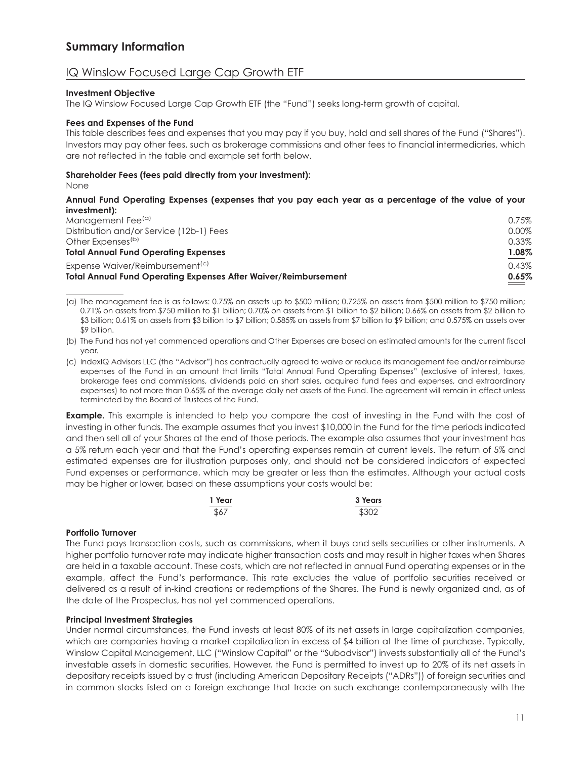# **Summary Information**

## IQ Winslow Focused Large Cap Growth ETF

#### **Investment Objective**

The IQ Winslow Focused Large Cap Growth ETF (the "Fund") seeks long-term growth of capital.

#### **Fees and Expenses of the Fund**

This table describes fees and expenses that you may pay if you buy, hold and sell shares of the Fund ("Shares"). Investors may pay other fees, such as brokerage commissions and other fees to financial intermediaries, which are not reflected in the table and example set forth below.

#### **Shareholder Fees (fees paid directly from your investment):**

None

#### **Annual Fund Operating Expenses (expenses that you pay each year as a percentage of the value of your investment):**

| <b>Total Annual Fund Operating Expenses After Waiver/Reimbursement</b> | 0.65% |
|------------------------------------------------------------------------|-------|
| Expense Waiver/Reimbursement <sup>(c)</sup>                            | 0.43% |
| <b>Total Annual Fund Operating Expenses</b>                            | 1.08% |
| Other Expenses <sup>(b)</sup>                                          | 0.33% |
| Distribution and/or Service (12b-1) Fees                               | 0.00% |
| Management Fee <sup>(a)</sup>                                          | 0.75% |
|                                                                        |       |

(a) The management fee is as follows: 0.75% on assets up to \$500 million; 0.725% on assets from \$500 million to \$750 million; 0.71% on assets from \$750 million to \$1 billion; 0.70% on assets from \$1 billion to \$2 billion; 0.66% on assets from \$2 billion to \$3 billion; 0.61% on assets from \$3 billion to \$7 billion; 0.585% on assets from \$7 billion to \$9 billion; and 0.575% on assets over \$9 billion.

(b) The Fund has not yet commenced operations and Other Expenses are based on estimated amounts for the current fiscal year.

(c) IndexIQ Advisors LLC (the "Advisor") has contractually agreed to waive or reduce its management fee and/or reimburse expenses of the Fund in an amount that limits "Total Annual Fund Operating Expenses" (exclusive of interest, taxes, brokerage fees and commissions, dividends paid on short sales, acquired fund fees and expenses, and extraordinary expenses) to not more than 0.65% of the average daily net assets of the Fund. The agreement will remain in effect unless terminated by the Board of Trustees of the Fund.

**Example.** This example is intended to help you compare the cost of investing in the Fund with the cost of investing in other funds. The example assumes that you invest \$10,000 in the Fund for the time periods indicated and then sell all of your Shares at the end of those periods. The example also assumes that your investment has a 5% return each year and that the Fund's operating expenses remain at current levels. The return of 5% and estimated expenses are for illustration purposes only, and should not be considered indicators of expected Fund expenses or performance, which may be greater or less than the estimates. Although your actual costs may be higher or lower, based on these assumptions your costs would be:

| 1 Year | 3 Years |
|--------|---------|
| \$67   | \$302   |

#### **Portfolio Turnover**

The Fund pays transaction costs, such as commissions, when it buys and sells securities or other instruments. A higher portfolio turnover rate may indicate higher transaction costs and may result in higher taxes when Shares are held in a taxable account. These costs, which are not reflected in annual Fund operating expenses or in the example, affect the Fund's performance. This rate excludes the value of portfolio securities received or delivered as a result of in-kind creations or redemptions of the Shares. The Fund is newly organized and, as of the date of the Prospectus, has not yet commenced operations.

#### **Principal Investment Strategies**

Under normal circumstances, the Fund invests at least 80% of its net assets in large capitalization companies, which are companies having a market capitalization in excess of \$4 billion at the time of purchase. Typically, Winslow Capital Management, LLC ("Winslow Capital" or the "Subadvisor") invests substantially all of the Fund's investable assets in domestic securities. However, the Fund is permitted to invest up to 20% of its net assets in depositary receipts issued by a trust (including American Depositary Receipts ("ADRs")) of foreign securities and in common stocks listed on a foreign exchange that trade on such exchange contemporaneously with the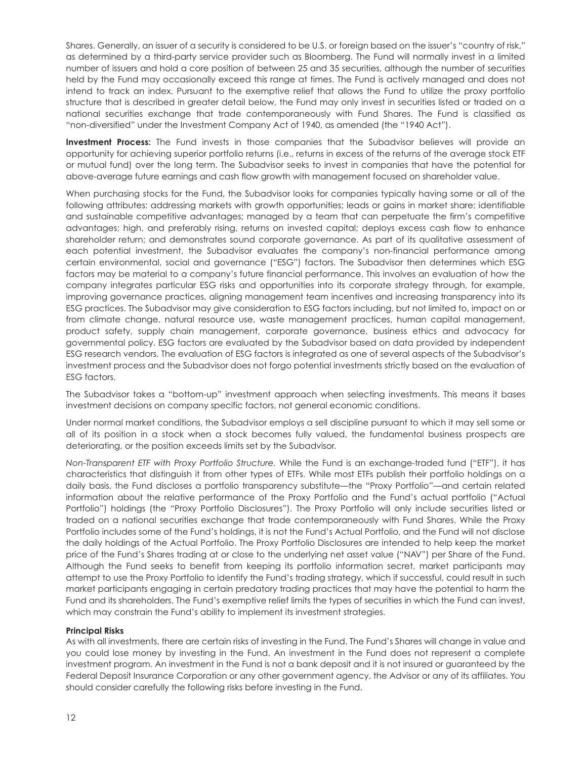Shares. Generally, an issuer of a security is considered to be U.S. or foreign based on the issuer's "country of risk," as determined by a third-party service provider such as Bloomberg. The Fund will normally invest in a limited number of issuers and hold a core position of between 25 and 35 securities, although the number of securities held by the Fund may occasionally exceed this range at times. The Fund is actively managed and does not intend to track an index. Pursuant to the exemptive relief that allows the Fund to utilize the proxy portfolio structure that is described in greater detail below, the Fund may only invest in securities listed or traded on a national securities exchange that trade contemporaneously with Fund Shares. The Fund is classified as "non-diversified" under the Investment Company Act of 1940, as amended (the "1940 Act").

**Investment Process:** The Fund invests in those companies that the Subadvisor believes will provide an opportunity for achieving superior portfolio returns (i.e., returns in excess of the returns of the average stock ETF or mutual fund) over the long term. The Subadvisor seeks to invest in companies that have the potential for above-average future earnings and cash flow growth with management focused on shareholder value.

When purchasing stocks for the Fund, the Subadvisor looks for companies typically having some or all of the following attributes: addressing markets with growth opportunities; leads or gains in market share; identifiable and sustainable competitive advantages; managed by a team that can perpetuate the firm's competitive advantages; high, and preferably rising, returns on invested capital; deploys excess cash flow to enhance shareholder return; and demonstrates sound corporate governance. As part of its qualitative assessment of each potential investment, the Subadvisor evaluates the company's non-financial performance among certain environmental, social and governance ("ESG") factors. The Subadvisor then determines which ESG factors may be material to a company's future financial performance. This involves an evaluation of how the company integrates particular ESG risks and opportunities into its corporate strategy through, for example, improving governance practices, aligning management team incentives and increasing transparency into its ESG practices. The Subadvisor may give consideration to ESG factors including, but not limited to, impact on or from climate change, natural resource use, waste management practices, human capital management, product safety, supply chain management, corporate governance, business ethics and advocacy for governmental policy. ESG factors are evaluated by the Subadvisor based on data provided by independent ESG research vendors. The evaluation of ESG factors is integrated as one of several aspects of the Subadvisor's investment process and the Subadvisor does not forgo potential investments strictly based on the evaluation of ESG factors.

The Subadvisor takes a "bottom-up" investment approach when selecting investments. This means it bases investment decisions on company specific factors, not general economic conditions.

Under normal market conditions, the Subadvisor employs a sell discipline pursuant to which it may sell some or all of its position in a stock when a stock becomes fully valued, the fundamental business prospects are deteriorating, or the position exceeds limits set by the Subadvisor.

*Non-Transparent ETF with Proxy Portfolio Structure.* While the Fund is an exchange-traded fund ("ETF"), it has characteristics that distinguish it from other types of ETFs. While most ETFs publish their portfolio holdings on a daily basis, the Fund discloses a portfolio transparency substitute—the "Proxy Portfolio"—and certain related information about the relative performance of the Proxy Portfolio and the Fund's actual portfolio ("Actual Portfolio") holdings (the "Proxy Portfolio Disclosures"). The Proxy Portfolio will only include securities listed or traded on a national securities exchange that trade contemporaneously with Fund Shares. While the Proxy Portfolio includes some of the Fund's holdings, it is not the Fund's Actual Portfolio, and the Fund will not disclose the daily holdings of the Actual Portfolio. The Proxy Portfolio Disclosures are intended to help keep the market price of the Fund's Shares trading at or close to the underlying net asset value ("NAV") per Share of the Fund. Although the Fund seeks to benefit from keeping its portfolio information secret, market participants may attempt to use the Proxy Portfolio to identify the Fund's trading strategy, which if successful, could result in such market participants engaging in certain predatory trading practices that may have the potential to harm the Fund and its shareholders. The Fund's exemptive relief limits the types of securities in which the Fund can invest, which may constrain the Fund's ability to implement its investment strategies.

#### **Principal Risks**

As with all investments, there are certain risks of investing in the Fund. The Fund's Shares will change in value and you could lose money by investing in the Fund. An investment in the Fund does not represent a complete investment program. An investment in the Fund is not a bank deposit and it is not insured or guaranteed by the Federal Deposit Insurance Corporation or any other government agency, the Advisor or any of its affiliates. You should consider carefully the following risks before investing in the Fund.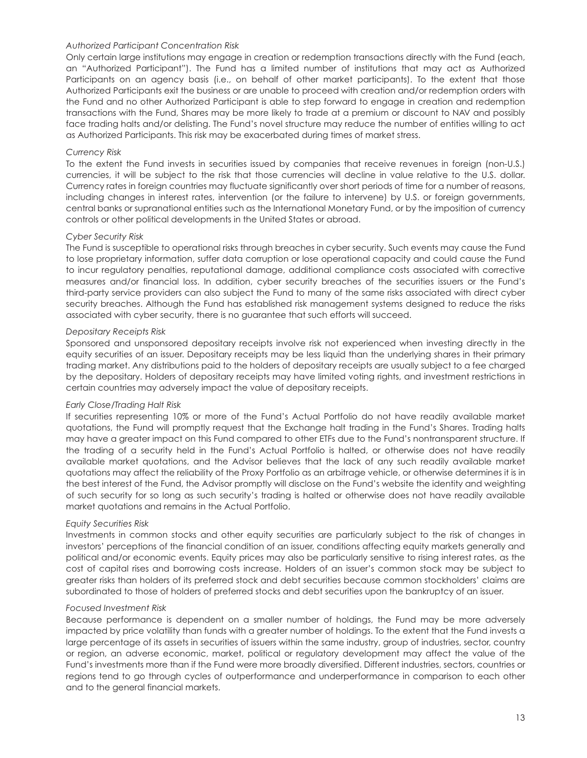#### *Authorized Participant Concentration Risk*

Only certain large institutions may engage in creation or redemption transactions directly with the Fund (each, an "Authorized Participant"). The Fund has a limited number of institutions that may act as Authorized Participants on an agency basis (i.e., on behalf of other market participants). To the extent that those Authorized Participants exit the business or are unable to proceed with creation and/or redemption orders with the Fund and no other Authorized Participant is able to step forward to engage in creation and redemption transactions with the Fund, Shares may be more likely to trade at a premium or discount to NAV and possibly face trading halts and/or delisting. The Fund's novel structure may reduce the number of entities willing to act as Authorized Participants. This risk may be exacerbated during times of market stress.

#### *Currency Risk*

To the extent the Fund invests in securities issued by companies that receive revenues in foreign (non-U.S.) currencies, it will be subject to the risk that those currencies will decline in value relative to the U.S. dollar. Currency rates in foreign countries may fluctuate significantly over short periods of time for a number of reasons, including changes in interest rates, intervention (or the failure to intervene) by U.S. or foreign governments, central banks or supranational entities such as the International Monetary Fund, or by the imposition of currency controls or other political developments in the United States or abroad.

#### *Cyber Security Risk*

The Fund is susceptible to operational risks through breaches in cyber security. Such events may cause the Fund to lose proprietary information, suffer data corruption or lose operational capacity and could cause the Fund to incur regulatory penalties, reputational damage, additional compliance costs associated with corrective measures and/or financial loss. In addition, cyber security breaches of the securities issuers or the Fund's third-party service providers can also subject the Fund to many of the same risks associated with direct cyber security breaches. Although the Fund has established risk management systems designed to reduce the risks associated with cyber security, there is no guarantee that such efforts will succeed.

#### *Depositary Receipts Risk*

Sponsored and unsponsored depositary receipts involve risk not experienced when investing directly in the equity securities of an issuer. Depositary receipts may be less liquid than the underlying shares in their primary trading market. Any distributions paid to the holders of depositary receipts are usually subject to a fee charged by the depositary. Holders of depositary receipts may have limited voting rights, and investment restrictions in certain countries may adversely impact the value of depositary receipts.

#### *Early Close/Trading Halt Risk*

If securities representing 10% or more of the Fund's Actual Portfolio do not have readily available market quotations, the Fund will promptly request that the Exchange halt trading in the Fund's Shares. Trading halts may have a greater impact on this Fund compared to other ETFs due to the Fund's nontransparent structure. If the trading of a security held in the Fund's Actual Portfolio is halted, or otherwise does not have readily available market quotations, and the Advisor believes that the lack of any such readily available market quotations may affect the reliability of the Proxy Portfolio as an arbitrage vehicle, or otherwise determines it is in the best interest of the Fund, the Advisor promptly will disclose on the Fund's website the identity and weighting of such security for so long as such security's trading is halted or otherwise does not have readily available market quotations and remains in the Actual Portfolio.

#### *Equity Securities Risk*

Investments in common stocks and other equity securities are particularly subject to the risk of changes in investors' perceptions of the financial condition of an issuer, conditions affecting equity markets generally and political and/or economic events. Equity prices may also be particularly sensitive to rising interest rates, as the cost of capital rises and borrowing costs increase. Holders of an issuer's common stock may be subject to greater risks than holders of its preferred stock and debt securities because common stockholders' claims are subordinated to those of holders of preferred stocks and debt securities upon the bankruptcy of an issuer.

#### *Focused Investment Risk*

Because performance is dependent on a smaller number of holdings, the Fund may be more adversely impacted by price volatility than funds with a greater number of holdings. To the extent that the Fund invests a large percentage of its assets in securities of issuers within the same industry, group of industries, sector, country or region, an adverse economic, market, political or regulatory development may affect the value of the Fund's investments more than if the Fund were more broadly diversified. Different industries, sectors, countries or regions tend to go through cycles of outperformance and underperformance in comparison to each other and to the general financial markets.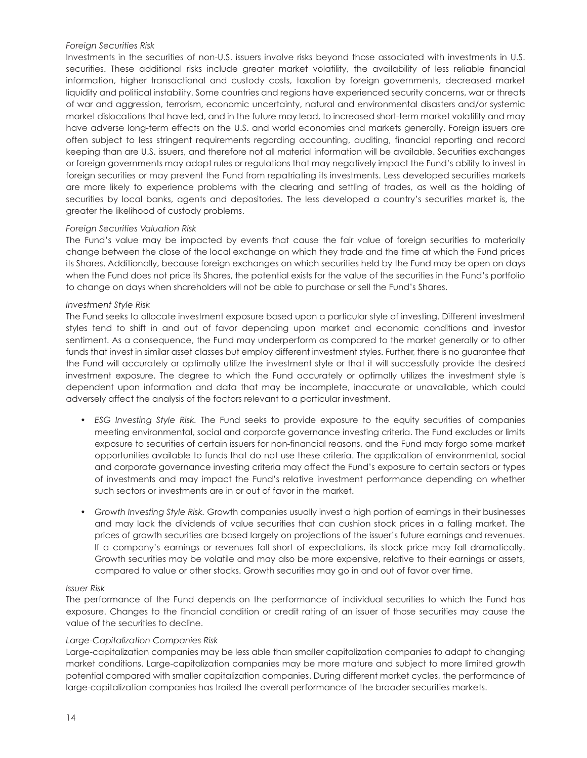#### *Foreign Securities Risk*

Investments in the securities of non-U.S. issuers involve risks beyond those associated with investments in U.S. securities. These additional risks include greater market volatility, the availability of less reliable financial information, higher transactional and custody costs, taxation by foreign governments, decreased market liquidity and political instability. Some countries and regions have experienced security concerns, war or threats of war and aggression, terrorism, economic uncertainty, natural and environmental disasters and/or systemic market dislocations that have led, and in the future may lead, to increased short-term market volatility and may have adverse long-term effects on the U.S. and world economies and markets generally. Foreign issuers are often subject to less stringent requirements regarding accounting, auditing, financial reporting and record keeping than are U.S. issuers, and therefore not all material information will be available. Securities exchanges or foreign governments may adopt rules or regulations that may negatively impact the Fund's ability to invest in foreign securities or may prevent the Fund from repatriating its investments. Less developed securities markets are more likely to experience problems with the clearing and settling of trades, as well as the holding of securities by local banks, agents and depositories. The less developed a country's securities market is, the greater the likelihood of custody problems.

#### *Foreign Securities Valuation Risk*

The Fund's value may be impacted by events that cause the fair value of foreign securities to materially change between the close of the local exchange on which they trade and the time at which the Fund prices its Shares. Additionally, because foreign exchanges on which securities held by the Fund may be open on days when the Fund does not price its Shares, the potential exists for the value of the securities in the Fund's portfolio to change on days when shareholders will not be able to purchase or sell the Fund's Shares.

#### *Investment Style Risk*

The Fund seeks to allocate investment exposure based upon a particular style of investing. Different investment styles tend to shift in and out of favor depending upon market and economic conditions and investor sentiment. As a consequence, the Fund may underperform as compared to the market generally or to other funds that invest in similar asset classes but employ different investment styles. Further, there is no guarantee that the Fund will accurately or optimally utilize the investment style or that it will successfully provide the desired investment exposure. The degree to which the Fund accurately or optimally utilizes the investment style is dependent upon information and data that may be incomplete, inaccurate or unavailable, which could adversely affect the analysis of the factors relevant to a particular investment.

- *ESG Investing Style Risk.* The Fund seeks to provide exposure to the equity securities of companies meeting environmental, social and corporate governance investing criteria. The Fund excludes or limits exposure to securities of certain issuers for non-financial reasons, and the Fund may forgo some market opportunities available to funds that do not use these criteria. The application of environmental, social and corporate governance investing criteria may affect the Fund's exposure to certain sectors or types of investments and may impact the Fund's relative investment performance depending on whether such sectors or investments are in or out of favor in the market.
- *Growth Investing Style Risk.* Growth companies usually invest a high portion of earnings in their businesses and may lack the dividends of value securities that can cushion stock prices in a falling market. The prices of growth securities are based largely on projections of the issuer's future earnings and revenues. If a company's earnings or revenues fall short of expectations, its stock price may fall dramatically. Growth securities may be volatile and may also be more expensive, relative to their earnings or assets, compared to value or other stocks. Growth securities may go in and out of favor over time.

#### *Issuer Risk*

The performance of the Fund depends on the performance of individual securities to which the Fund has exposure. Changes to the financial condition or credit rating of an issuer of those securities may cause the value of the securities to decline.

#### *Large-Capitalization Companies Risk*

Large-capitalization companies may be less able than smaller capitalization companies to adapt to changing market conditions. Large-capitalization companies may be more mature and subject to more limited growth potential compared with smaller capitalization companies. During different market cycles, the performance of large-capitalization companies has trailed the overall performance of the broader securities markets.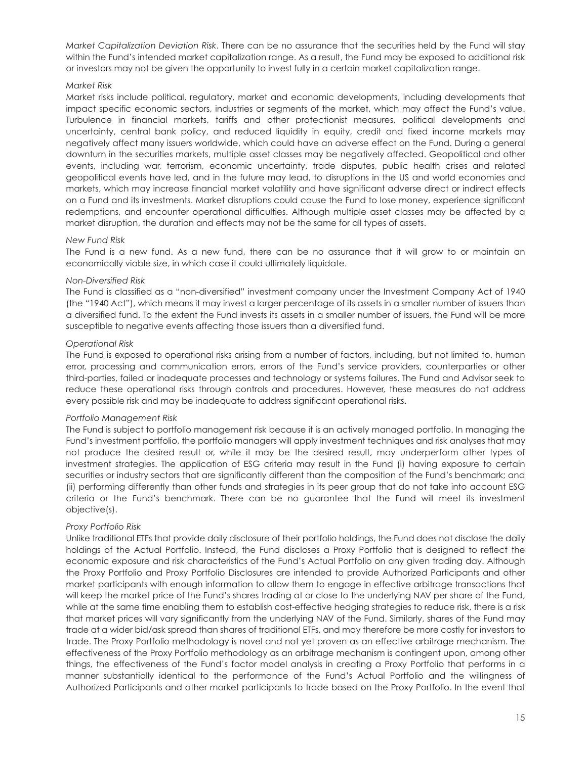*Market Capitalization Deviation Risk*. There can be no assurance that the securities held by the Fund will stay within the Fund's intended market capitalization range. As a result, the Fund may be exposed to additional risk or investors may not be given the opportunity to invest fully in a certain market capitalization range.

#### *Market Risk*

Market risks include political, regulatory, market and economic developments, including developments that impact specific economic sectors, industries or segments of the market, which may affect the Fund's value. Turbulence in financial markets, tariffs and other protectionist measures, political developments and uncertainty, central bank policy, and reduced liquidity in equity, credit and fixed income markets may negatively affect many issuers worldwide, which could have an adverse effect on the Fund. During a general downturn in the securities markets, multiple asset classes may be negatively affected. Geopolitical and other events, including war, terrorism, economic uncertainty, trade disputes, public health crises and related geopolitical events have led, and in the future may lead, to disruptions in the US and world economies and markets, which may increase financial market volatility and have significant adverse direct or indirect effects on a Fund and its investments. Market disruptions could cause the Fund to lose money, experience significant redemptions, and encounter operational difficulties. Although multiple asset classes may be affected by a market disruption, the duration and effects may not be the same for all types of assets.

#### *New Fund Risk*

The Fund is a new fund. As a new fund, there can be no assurance that it will grow to or maintain an economically viable size, in which case it could ultimately liquidate.

#### *Non-Diversified Risk*

The Fund is classified as a "non-diversified" investment company under the Investment Company Act of 1940 (the "1940 Act"), which means it may invest a larger percentage of its assets in a smaller number of issuers than a diversified fund. To the extent the Fund invests its assets in a smaller number of issuers, the Fund will be more susceptible to negative events affecting those issuers than a diversified fund.

#### *Operational Risk*

The Fund is exposed to operational risks arising from a number of factors, including, but not limited to, human error, processing and communication errors, errors of the Fund's service providers, counterparties or other third-parties, failed or inadequate processes and technology or systems failures. The Fund and Advisor seek to reduce these operational risks through controls and procedures. However, these measures do not address every possible risk and may be inadequate to address significant operational risks.

#### *Portfolio Management Risk*

The Fund is subject to portfolio management risk because it is an actively managed portfolio. In managing the Fund's investment portfolio, the portfolio managers will apply investment techniques and risk analyses that may not produce the desired result or, while it may be the desired result, may underperform other types of investment strategies. The application of ESG criteria may result in the Fund (i) having exposure to certain securities or industry sectors that are significantly different than the composition of the Fund's benchmark; and (ii) performing differently than other funds and strategies in its peer group that do not take into account ESG criteria or the Fund's benchmark. There can be no guarantee that the Fund will meet its investment objective(s).

#### *Proxy Portfolio Risk*

Unlike traditional ETFs that provide daily disclosure of their portfolio holdings, the Fund does not disclose the daily holdings of the Actual Portfolio. Instead, the Fund discloses a Proxy Portfolio that is designed to reflect the economic exposure and risk characteristics of the Fund's Actual Portfolio on any given trading day. Although the Proxy Portfolio and Proxy Portfolio Disclosures are intended to provide Authorized Participants and other market participants with enough information to allow them to engage in effective arbitrage transactions that will keep the market price of the Fund's shares trading at or close to the underlying NAV per share of the Fund, while at the same time enabling them to establish cost-effective hedging strategies to reduce risk, there is a risk that market prices will vary significantly from the underlying NAV of the Fund. Similarly, shares of the Fund may trade at a wider bid/ask spread than shares of traditional ETFs, and may therefore be more costly for investors to trade. The Proxy Portfolio methodology is novel and not yet proven as an effective arbitrage mechanism. The effectiveness of the Proxy Portfolio methodology as an arbitrage mechanism is contingent upon, among other things, the effectiveness of the Fund's factor model analysis in creating a Proxy Portfolio that performs in a manner substantially identical to the performance of the Fund's Actual Portfolio and the willingness of Authorized Participants and other market participants to trade based on the Proxy Portfolio. In the event that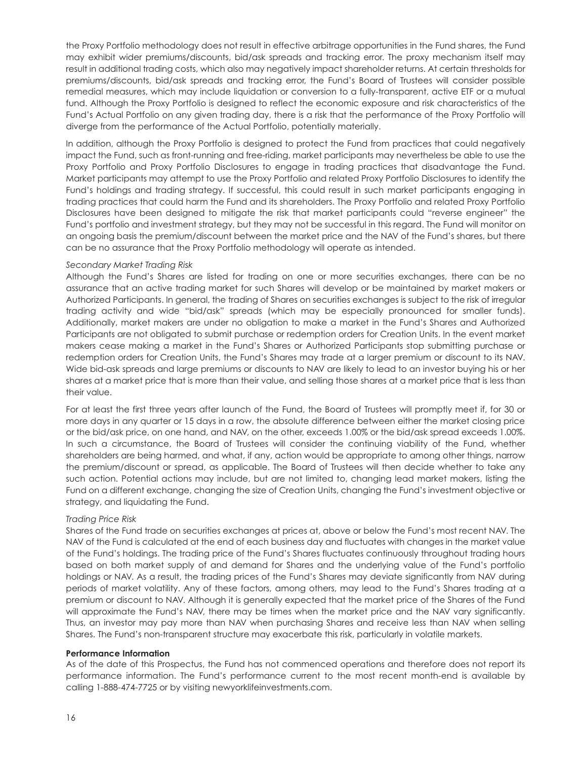the Proxy Portfolio methodology does not result in effective arbitrage opportunities in the Fund shares, the Fund may exhibit wider premiums/discounts, bid/ask spreads and tracking error. The proxy mechanism itself may result in additional trading costs, which also may negatively impact shareholder returns. At certain thresholds for premiums/discounts, bid/ask spreads and tracking error, the Fund's Board of Trustees will consider possible remedial measures, which may include liquidation or conversion to a fully-transparent, active ETF or a mutual fund. Although the Proxy Portfolio is designed to reflect the economic exposure and risk characteristics of the Fund's Actual Portfolio on any given trading day, there is a risk that the performance of the Proxy Portfolio will diverge from the performance of the Actual Portfolio, potentially materially.

In addition, although the Proxy Portfolio is designed to protect the Fund from practices that could negatively impact the Fund, such as front-running and free-riding, market participants may nevertheless be able to use the Proxy Portfolio and Proxy Portfolio Disclosures to engage in trading practices that disadvantage the Fund. Market participants may attempt to use the Proxy Portfolio and related Proxy Portfolio Disclosures to identify the Fund's holdings and trading strategy. If successful, this could result in such market participants engaging in trading practices that could harm the Fund and its shareholders. The Proxy Portfolio and related Proxy Portfolio Disclosures have been designed to mitigate the risk that market participants could "reverse engineer" the Fund's portfolio and investment strategy, but they may not be successful in this regard. The Fund will monitor on an ongoing basis the premium/discount between the market price and the NAV of the Fund's shares, but there can be no assurance that the Proxy Portfolio methodology will operate as intended.

#### *Secondary Market Trading Risk*

Although the Fund's Shares are listed for trading on one or more securities exchanges, there can be no assurance that an active trading market for such Shares will develop or be maintained by market makers or Authorized Participants. In general, the trading of Shares on securities exchanges is subject to the risk of irregular trading activity and wide "bid/ask" spreads (which may be especially pronounced for smaller funds). Additionally, market makers are under no obligation to make a market in the Fund's Shares and Authorized Participants are not obligated to submit purchase or redemption orders for Creation Units. In the event market makers cease making a market in the Fund's Shares or Authorized Participants stop submitting purchase or redemption orders for Creation Units, the Fund's Shares may trade at a larger premium or discount to its NAV. Wide bid-ask spreads and large premiums or discounts to NAV are likely to lead to an investor buying his or her shares at a market price that is more than their value, and selling those shares at a market price that is less than their value.

For at least the first three years after launch of the Fund, the Board of Trustees will promptly meet if, for 30 or more days in any quarter or 15 days in a row, the absolute difference between either the market closing price or the bid/ask price, on one hand, and NAV, on the other, exceeds 1.00% or the bid/ask spread exceeds 1.00%. In such a circumstance, the Board of Trustees will consider the continuing viability of the Fund, whether shareholders are being harmed, and what, if any, action would be appropriate to among other things, narrow the premium/discount or spread, as applicable. The Board of Trustees will then decide whether to take any such action. Potential actions may include, but are not limited to, changing lead market makers, listing the Fund on a different exchange, changing the size of Creation Units, changing the Fund's investment objective or strategy, and liquidating the Fund.

#### *Trading Price Risk*

Shares of the Fund trade on securities exchanges at prices at, above or below the Fund's most recent NAV. The NAV of the Fund is calculated at the end of each business day and fluctuates with changes in the market value of the Fund's holdings. The trading price of the Fund's Shares fluctuates continuously throughout trading hours based on both market supply of and demand for Shares and the underlying value of the Fund's portfolio holdings or NAV. As a result, the trading prices of the Fund's Shares may deviate significantly from NAV during periods of market volatility. Any of these factors, among others, may lead to the Fund's Shares trading at a premium or discount to NAV. Although it is generally expected that the market price of the Shares of the Fund will approximate the Fund's NAV, there may be times when the market price and the NAV vary significantly. Thus, an investor may pay more than NAV when purchasing Shares and receive less than NAV when selling Shares. The Fund's non-transparent structure may exacerbate this risk, particularly in volatile markets.

#### **Performance Information**

As of the date of this Prospectus, the Fund has not commenced operations and therefore does not report its performance information. The Fund's performance current to the most recent month-end is available by calling 1-888-474-7725 or by visiting newyorklifeinvestments.com.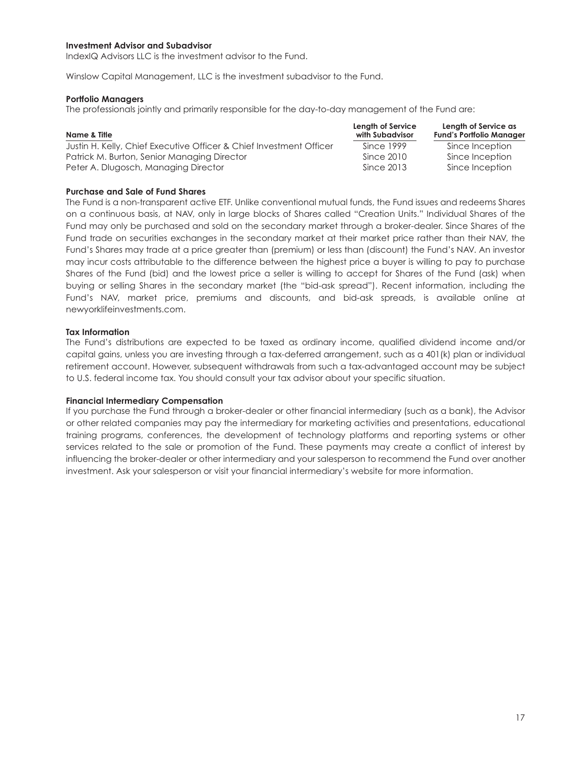#### **Investment Advisor and Subadvisor**

IndexIQ Advisors LLC is the investment advisor to the Fund.

Winslow Capital Management, LLC is the investment subadvisor to the Fund.

#### **Portfolio Managers**

The professionals jointly and primarily responsible for the day-to-day management of the Fund are:

| Name & Title                                                        | Length of Service<br>with Subadvisor | Length of Service as<br><b>Fund's Portfolio Manager</b> |
|---------------------------------------------------------------------|--------------------------------------|---------------------------------------------------------|
| Justin H. Kelly, Chief Executive Officer & Chief Investment Officer | Since 1999                           | Since Inception                                         |
| Patrick M. Burton, Senior Managing Director                         | Since 2010                           | Since Inception                                         |
| Peter A. Dlugosch, Managing Director                                | Since 2013                           | Since Inception                                         |

#### **Purchase and Sale of Fund Shares**

The Fund is a non-transparent active ETF. Unlike conventional mutual funds, the Fund issues and redeems Shares on a continuous basis, at NAV, only in large blocks of Shares called "Creation Units." Individual Shares of the Fund may only be purchased and sold on the secondary market through a broker-dealer. Since Shares of the Fund trade on securities exchanges in the secondary market at their market price rather than their NAV, the Fund's Shares may trade at a price greater than (premium) or less than (discount) the Fund's NAV. An investor may incur costs attributable to the difference between the highest price a buyer is willing to pay to purchase Shares of the Fund (bid) and the lowest price a seller is willing to accept for Shares of the Fund (ask) when buying or selling Shares in the secondary market (the "bid-ask spread"). Recent information, including the Fund's NAV, market price, premiums and discounts, and bid-ask spreads, is available online at newyorklifeinvestments.com.

#### **Tax Information**

The Fund's distributions are expected to be taxed as ordinary income, qualified dividend income and/or capital gains, unless you are investing through a tax-deferred arrangement, such as a 401(k) plan or individual retirement account. However, subsequent withdrawals from such a tax-advantaged account may be subject to U.S. federal income tax. You should consult your tax advisor about your specific situation.

#### **Financial Intermediary Compensation**

If you purchase the Fund through a broker-dealer or other financial intermediary (such as a bank), the Advisor or other related companies may pay the intermediary for marketing activities and presentations, educational training programs, conferences, the development of technology platforms and reporting systems or other services related to the sale or promotion of the Fund. These payments may create a conflict of interest by influencing the broker-dealer or other intermediary and your salesperson to recommend the Fund over another investment. Ask your salesperson or visit your financial intermediary's website for more information.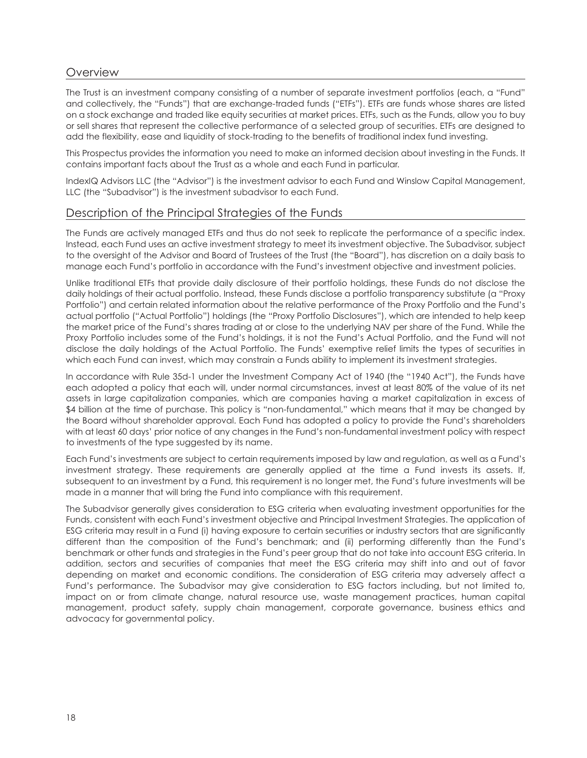## **Overview**

The Trust is an investment company consisting of a number of separate investment portfolios (each, a "Fund" and collectively, the "Funds") that are exchange-traded funds ("ETFs"). ETFs are funds whose shares are listed on a stock exchange and traded like equity securities at market prices. ETFs, such as the Funds, allow you to buy or sell shares that represent the collective performance of a selected group of securities. ETFs are designed to add the flexibility, ease and liquidity of stock-trading to the benefits of traditional index fund investing.

This Prospectus provides the information you need to make an informed decision about investing in the Funds. It contains important facts about the Trust as a whole and each Fund in particular.

IndexIQ Advisors LLC (the "Advisor") is the investment advisor to each Fund and Winslow Capital Management, LLC (the "Subadvisor") is the investment subadvisor to each Fund.

## Description of the Principal Strategies of the Funds

The Funds are actively managed ETFs and thus do not seek to replicate the performance of a specific index. Instead, each Fund uses an active investment strategy to meet its investment objective. The Subadvisor, subject to the oversight of the Advisor and Board of Trustees of the Trust (the "Board"), has discretion on a daily basis to manage each Fund's portfolio in accordance with the Fund's investment objective and investment policies.

Unlike traditional ETFs that provide daily disclosure of their portfolio holdings, these Funds do not disclose the daily holdings of their actual portfolio. Instead, these Funds disclose a portfolio transparency substitute (a "Proxy Portfolio") and certain related information about the relative performance of the Proxy Portfolio and the Fund's actual portfolio ("Actual Portfolio") holdings (the "Proxy Portfolio Disclosures"), which are intended to help keep the market price of the Fund's shares trading at or close to the underlying NAV per share of the Fund. While the Proxy Portfolio includes some of the Fund's holdings, it is not the Fund's Actual Portfolio, and the Fund will not disclose the daily holdings of the Actual Portfolio. The Funds' exemptive relief limits the types of securities in which each Fund can invest, which may constrain a Funds ability to implement its investment strategies.

In accordance with Rule 35d-1 under the Investment Company Act of 1940 (the "1940 Act"), the Funds have each adopted a policy that each will, under normal circumstances, invest at least 80% of the value of its net assets in large capitalization companies, which are companies having a market capitalization in excess of \$4 billion at the time of purchase. This policy is "non-fundamental," which means that it may be changed by the Board without shareholder approval. Each Fund has adopted a policy to provide the Fund's shareholders with at least 60 days' prior notice of any changes in the Fund's non-fundamental investment policy with respect to investments of the type suggested by its name.

Each Fund's investments are subject to certain requirements imposed by law and regulation, as well as a Fund's investment strategy. These requirements are generally applied at the time a Fund invests its assets. If, subsequent to an investment by a Fund, this requirement is no longer met, the Fund's future investments will be made in a manner that will bring the Fund into compliance with this requirement.

The Subadvisor generally gives consideration to ESG criteria when evaluating investment opportunities for the Funds, consistent with each Fund's investment objective and Principal Investment Strategies. The application of ESG criteria may result in a Fund (i) having exposure to certain securities or industry sectors that are significantly different than the composition of the Fund's benchmark; and (ii) performing differently than the Fund's benchmark or other funds and strategies in the Fund's peer group that do not take into account ESG criteria. In addition, sectors and securities of companies that meet the ESG criteria may shift into and out of favor depending on market and economic conditions. The consideration of ESG criteria may adversely affect a Fund's performance. The Subadvisor may give consideration to ESG factors including, but not limited to, impact on or from climate change, natural resource use, waste management practices, human capital management, product safety, supply chain management, corporate governance, business ethics and advocacy for governmental policy.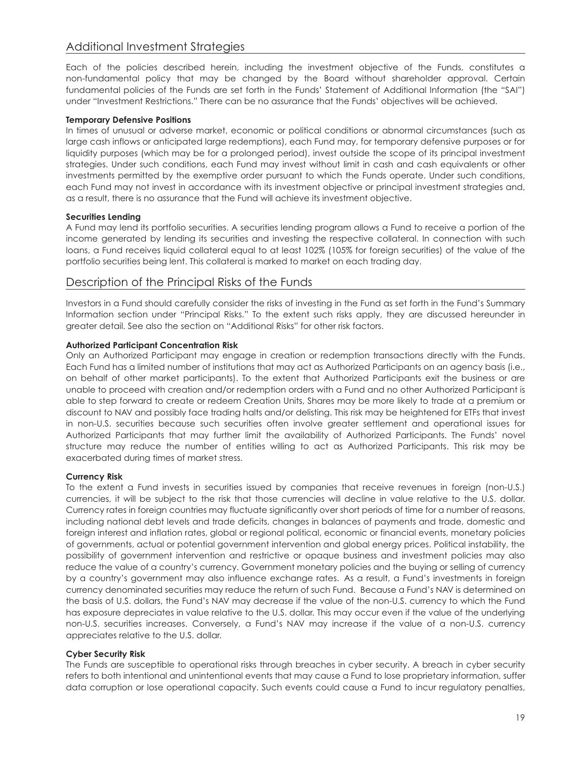## Additional Investment Strategies

Each of the policies described herein, including the investment objective of the Funds, constitutes a non-fundamental policy that may be changed by the Board without shareholder approval. Certain fundamental policies of the Funds are set forth in the Funds' Statement of Additional Information (the "SAI") under "Investment Restrictions." There can be no assurance that the Funds' objectives will be achieved.

#### **Temporary Defensive Positions**

In times of unusual or adverse market, economic or political conditions or abnormal circumstances (such as large cash inflows or anticipated large redemptions), each Fund may, for temporary defensive purposes or for liquidity purposes (which may be for a prolonged period), invest outside the scope of its principal investment strategies. Under such conditions, each Fund may invest without limit in cash and cash equivalents or other investments permitted by the exemptive order pursuant to which the Funds operate. Under such conditions, each Fund may not invest in accordance with its investment objective or principal investment strategies and, as a result, there is no assurance that the Fund will achieve its investment objective.

#### **Securities Lending**

A Fund may lend its portfolio securities. A securities lending program allows a Fund to receive a portion of the income generated by lending its securities and investing the respective collateral. In connection with such loans, a Fund receives liquid collateral equal to at least 102% (105% for foreign securities) of the value of the portfolio securities being lent. This collateral is marked to market on each trading day.

## Description of the Principal Risks of the Funds

Investors in a Fund should carefully consider the risks of investing in the Fund as set forth in the Fund's Summary Information section under "Principal Risks." To the extent such risks apply, they are discussed hereunder in greater detail. See also the section on "Additional Risks" for other risk factors.

#### **Authorized Participant Concentration Risk**

Only an Authorized Participant may engage in creation or redemption transactions directly with the Funds. Each Fund has a limited number of institutions that may act as Authorized Participants on an agency basis (i.e., on behalf of other market participants). To the extent that Authorized Participants exit the business or are unable to proceed with creation and/or redemption orders with a Fund and no other Authorized Participant is able to step forward to create or redeem Creation Units, Shares may be more likely to trade at a premium or discount to NAV and possibly face trading halts and/or delisting. This risk may be heightened for ETFs that invest in non-U.S. securities because such securities often involve greater settlement and operational issues for Authorized Participants that may further limit the availability of Authorized Participants. The Funds' novel structure may reduce the number of entities willing to act as Authorized Participants. This risk may be exacerbated during times of market stress.

#### **Currency Risk**

To the extent a Fund invests in securities issued by companies that receive revenues in foreign (non-U.S.) currencies, it will be subject to the risk that those currencies will decline in value relative to the U.S. dollar. Currency rates in foreign countries may fluctuate significantly over short periods of time for a number of reasons, including national debt levels and trade deficits, changes in balances of payments and trade, domestic and foreign interest and inflation rates, global or regional political, economic or financial events, monetary policies of governments, actual or potential government intervention and global energy prices. Political instability, the possibility of government intervention and restrictive or opaque business and investment policies may also reduce the value of a country's currency. Government monetary policies and the buying or selling of currency by a country's government may also influence exchange rates. As a result, a Fund's investments in foreign currency denominated securities may reduce the return of such Fund. Because a Fund's NAV is determined on the basis of U.S. dollars, the Fund's NAV may decrease if the value of the non-U.S. currency to which the Fund has exposure depreciates in value relative to the U.S. dollar. This may occur even if the value of the underlying non-U.S. securities increases. Conversely, a Fund's NAV may increase if the value of a non-U.S. currency appreciates relative to the U.S. dollar.

#### **Cyber Security Risk**

The Funds are susceptible to operational risks through breaches in cyber security. A breach in cyber security refers to both intentional and unintentional events that may cause a Fund to lose proprietary information, suffer data corruption or lose operational capacity. Such events could cause a Fund to incur regulatory penalties,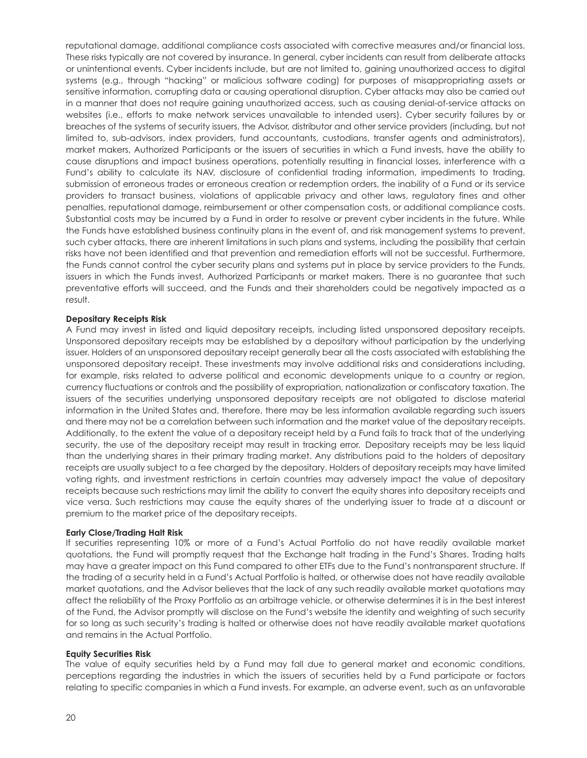reputational damage, additional compliance costs associated with corrective measures and/or financial loss. These risks typically are not covered by insurance. In general, cyber incidents can result from deliberate attacks or unintentional events. Cyber incidents include, but are not limited to, gaining unauthorized access to digital systems (e.g., through "hacking" or malicious software coding) for purposes of misappropriating assets or sensitive information, corrupting data or causing operational disruption. Cyber attacks may also be carried out in a manner that does not require gaining unauthorized access, such as causing denial-of-service attacks on websites (i.e., efforts to make network services unavailable to intended users). Cyber security failures by or breaches of the systems of security issuers, the Advisor, distributor and other service providers (including, but not limited to, sub-advisors, index providers, fund accountants, custodians, transfer agents and administrators), market makers, Authorized Participants or the issuers of securities in which a Fund invests, have the ability to cause disruptions and impact business operations, potentially resulting in financial losses, interference with a Fund's ability to calculate its NAV, disclosure of confidential trading information, impediments to trading, submission of erroneous trades or erroneous creation or redemption orders, the inability of a Fund or its service providers to transact business, violations of applicable privacy and other laws, regulatory fines and other penalties, reputational damage, reimbursement or other compensation costs, or additional compliance costs. Substantial costs may be incurred by a Fund in order to resolve or prevent cyber incidents in the future. While the Funds have established business continuity plans in the event of, and risk management systems to prevent, such cyber attacks, there are inherent limitations in such plans and systems, including the possibility that certain risks have not been identified and that prevention and remediation efforts will not be successful. Furthermore, the Funds cannot control the cyber security plans and systems put in place by service providers to the Funds, issuers in which the Funds invest, Authorized Participants or market makers. There is no guarantee that such preventative efforts will succeed, and the Funds and their shareholders could be negatively impacted as a result.

#### **Depositary Receipts Risk**

A Fund may invest in listed and liquid depositary receipts, including listed unsponsored depositary receipts. Unsponsored depositary receipts may be established by a depositary without participation by the underlying issuer. Holders of an unsponsored depositary receipt generally bear all the costs associated with establishing the unsponsored depositary receipt. These investments may involve additional risks and considerations including, for example, risks related to adverse political and economic developments unique to a country or region, currency fluctuations or controls and the possibility of expropriation, nationalization or confiscatory taxation. The issuers of the securities underlying unsponsored depositary receipts are not obligated to disclose material information in the United States and, therefore, there may be less information available regarding such issuers and there may not be a correlation between such information and the market value of the depositary receipts. Additionally, to the extent the value of a depositary receipt held by a Fund fails to track that of the underlying security, the use of the depositary receipt may result in tracking error. Depositary receipts may be less liquid than the underlying shares in their primary trading market. Any distributions paid to the holders of depositary receipts are usually subject to a fee charged by the depositary. Holders of depositary receipts may have limited voting rights, and investment restrictions in certain countries may adversely impact the value of depositary receipts because such restrictions may limit the ability to convert the equity shares into depositary receipts and vice versa. Such restrictions may cause the equity shares of the underlying issuer to trade at a discount or premium to the market price of the depositary receipts.

#### **Early Close/Trading Halt Risk**

If securities representing 10% or more of a Fund's Actual Portfolio do not have readily available market quotations, the Fund will promptly request that the Exchange halt trading in the Fund's Shares. Trading halts may have a greater impact on this Fund compared to other ETFs due to the Fund's nontransparent structure. If the trading of a security held in a Fund's Actual Portfolio is halted, or otherwise does not have readily available market quotations, and the Advisor believes that the lack of any such readily available market quotations may affect the reliability of the Proxy Portfolio as an arbitrage vehicle, or otherwise determines it is in the best interest of the Fund, the Advisor promptly will disclose on the Fund's website the identity and weighting of such security for so long as such security's trading is halted or otherwise does not have readily available market quotations and remains in the Actual Portfolio.

#### **Equity Securities Risk**

The value of equity securities held by a Fund may fall due to general market and economic conditions, perceptions regarding the industries in which the issuers of securities held by a Fund participate or factors relating to specific companies in which a Fund invests. For example, an adverse event, such as an unfavorable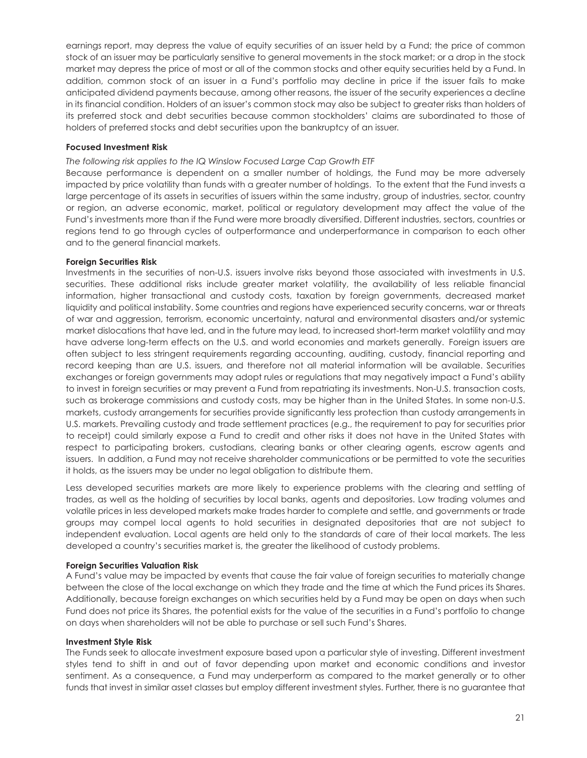earnings report, may depress the value of equity securities of an issuer held by a Fund; the price of common stock of an issuer may be particularly sensitive to general movements in the stock market; or a drop in the stock market may depress the price of most or all of the common stocks and other equity securities held by a Fund. In addition, common stock of an issuer in a Fund's portfolio may decline in price if the issuer fails to make anticipated dividend payments because, among other reasons, the issuer of the security experiences a decline in its financial condition. Holders of an issuer's common stock may also be subject to greater risks than holders of its preferred stock and debt securities because common stockholders' claims are subordinated to those of holders of preferred stocks and debt securities upon the bankruptcy of an issuer.

#### **Focused Investment Risk**

#### *The following risk applies to the IQ Winslow Focused Large Cap Growth ETF*

Because performance is dependent on a smaller number of holdings, the Fund may be more adversely impacted by price volatility than funds with a greater number of holdings. To the extent that the Fund invests a large percentage of its assets in securities of issuers within the same industry, group of industries, sector, country or region, an adverse economic, market, political or regulatory development may affect the value of the Fund's investments more than if the Fund were more broadly diversified. Different industries, sectors, countries or regions tend to go through cycles of outperformance and underperformance in comparison to each other and to the general financial markets.

#### **Foreign Securities Risk**

Investments in the securities of non-U.S. issuers involve risks beyond those associated with investments in U.S. securities. These additional risks include greater market volatility, the availability of less reliable financial information, higher transactional and custody costs, taxation by foreign governments, decreased market liquidity and political instability. Some countries and regions have experienced security concerns, war or threats of war and aggression, terrorism, economic uncertainty, natural and environmental disasters and/or systemic market dislocations that have led, and in the future may lead, to increased short-term market volatility and may have adverse long-term effects on the U.S. and world economies and markets generally. Foreign issuers are often subject to less stringent requirements regarding accounting, auditing, custody, financial reporting and record keeping than are U.S. issuers, and therefore not all material information will be available. Securities exchanges or foreign governments may adopt rules or regulations that may negatively impact a Fund's ability to invest in foreign securities or may prevent a Fund from repatriating its investments. Non-U.S. transaction costs, such as brokerage commissions and custody costs, may be higher than in the United States. In some non-U.S. markets, custody arrangements for securities provide significantly less protection than custody arrangements in U.S. markets. Prevailing custody and trade settlement practices (e.g., the requirement to pay for securities prior to receipt) could similarly expose a Fund to credit and other risks it does not have in the United States with respect to participating brokers, custodians, clearing banks or other clearing agents, escrow agents and issuers. In addition, a Fund may not receive shareholder communications or be permitted to vote the securities it holds, as the issuers may be under no legal obligation to distribute them.

Less developed securities markets are more likely to experience problems with the clearing and settling of trades, as well as the holding of securities by local banks, agents and depositories. Low trading volumes and volatile prices in less developed markets make trades harder to complete and settle, and governments or trade groups may compel local agents to hold securities in designated depositories that are not subject to independent evaluation. Local agents are held only to the standards of care of their local markets. The less developed a country's securities market is, the greater the likelihood of custody problems.

#### **Foreign Securities Valuation Risk**

A Fund's value may be impacted by events that cause the fair value of foreign securities to materially change between the close of the local exchange on which they trade and the time at which the Fund prices its Shares. Additionally, because foreign exchanges on which securities held by a Fund may be open on days when such Fund does not price its Shares, the potential exists for the value of the securities in a Fund's portfolio to change on days when shareholders will not be able to purchase or sell such Fund's Shares.

#### **Investment Style Risk**

The Funds seek to allocate investment exposure based upon a particular style of investing. Different investment styles tend to shift in and out of favor depending upon market and economic conditions and investor sentiment. As a consequence, a Fund may underperform as compared to the market generally or to other funds that invest in similar asset classes but employ different investment styles. Further, there is no guarantee that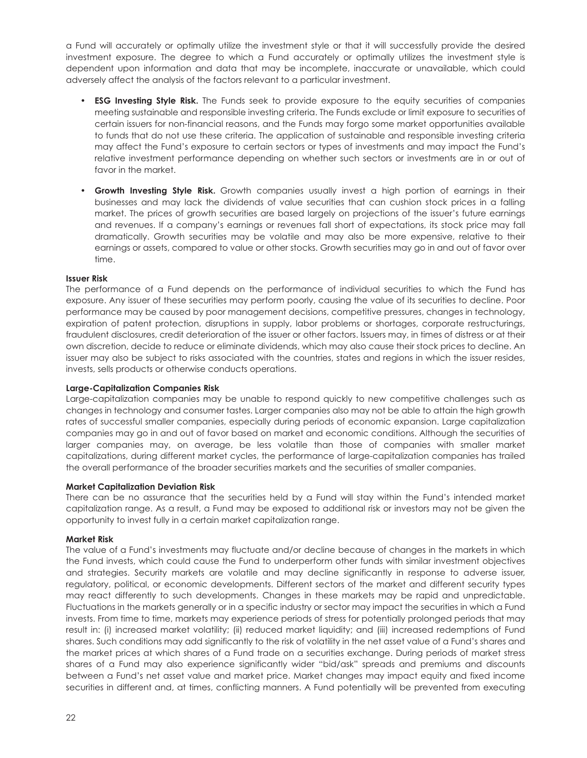a Fund will accurately or optimally utilize the investment style or that it will successfully provide the desired investment exposure. The degree to which a Fund accurately or optimally utilizes the investment style is dependent upon information and data that may be incomplete, inaccurate or unavailable, which could adversely affect the analysis of the factors relevant to a particular investment.

- **ESG Investing Style Risk.** The Funds seek to provide exposure to the equity securities of companies meeting sustainable and responsible investing criteria. The Funds exclude or limit exposure to securities of certain issuers for non-financial reasons, and the Funds may forgo some market opportunities available to funds that do not use these criteria. The application of sustainable and responsible investing criteria may affect the Fund's exposure to certain sectors or types of investments and may impact the Fund's relative investment performance depending on whether such sectors or investments are in or out of favor in the market.
- **Growth Investing Style Risk.** Growth companies usually invest a high portion of earnings in their businesses and may lack the dividends of value securities that can cushion stock prices in a falling market. The prices of growth securities are based largely on projections of the issuer's future earnings and revenues. If a company's earnings or revenues fall short of expectations, its stock price may fall dramatically. Growth securities may be volatile and may also be more expensive, relative to their earnings or assets, compared to value or other stocks. Growth securities may go in and out of favor over time.

#### **Issuer Risk**

The performance of a Fund depends on the performance of individual securities to which the Fund has exposure. Any issuer of these securities may perform poorly, causing the value of its securities to decline. Poor performance may be caused by poor management decisions, competitive pressures, changes in technology, expiration of patent protection, disruptions in supply, labor problems or shortages, corporate restructurings, fraudulent disclosures, credit deterioration of the issuer or other factors. Issuers may, in times of distress or at their own discretion, decide to reduce or eliminate dividends, which may also cause their stock prices to decline. An issuer may also be subject to risks associated with the countries, states and regions in which the issuer resides, invests, sells products or otherwise conducts operations.

#### **Large-Capitalization Companies Risk**

Large-capitalization companies may be unable to respond quickly to new competitive challenges such as changes in technology and consumer tastes. Larger companies also may not be able to attain the high growth rates of successful smaller companies, especially during periods of economic expansion. Large capitalization companies may go in and out of favor based on market and economic conditions. Although the securities of larger companies may, on average, be less volatile than those of companies with smaller market capitalizations, during different market cycles, the performance of large-capitalization companies has trailed the overall performance of the broader securities markets and the securities of smaller companies.

#### **Market Capitalization Deviation Risk**

There can be no assurance that the securities held by a Fund will stay within the Fund's intended market capitalization range. As a result, a Fund may be exposed to additional risk or investors may not be given the opportunity to invest fully in a certain market capitalization range.

#### **Market Risk**

The value of a Fund's investments may fluctuate and/or decline because of changes in the markets in which the Fund invests, which could cause the Fund to underperform other funds with similar investment objectives and strategies. Security markets are volatile and may decline significantly in response to adverse issuer, regulatory, political, or economic developments. Different sectors of the market and different security types may react differently to such developments. Changes in these markets may be rapid and unpredictable. Fluctuations in the markets generally or in a specific industry or sector may impact the securities in which a Fund invests. From time to time, markets may experience periods of stress for potentially prolonged periods that may result in: (i) increased market volatility; (ii) reduced market liquidity; and (iii) increased redemptions of Fund shares. Such conditions may add significantly to the risk of volatility in the net asset value of a Fund's shares and the market prices at which shares of a Fund trade on a securities exchange. During periods of market stress shares of a Fund may also experience significantly wider "bid/ask" spreads and premiums and discounts between a Fund's net asset value and market price. Market changes may impact equity and fixed income securities in different and, at times, conflicting manners. A Fund potentially will be prevented from executing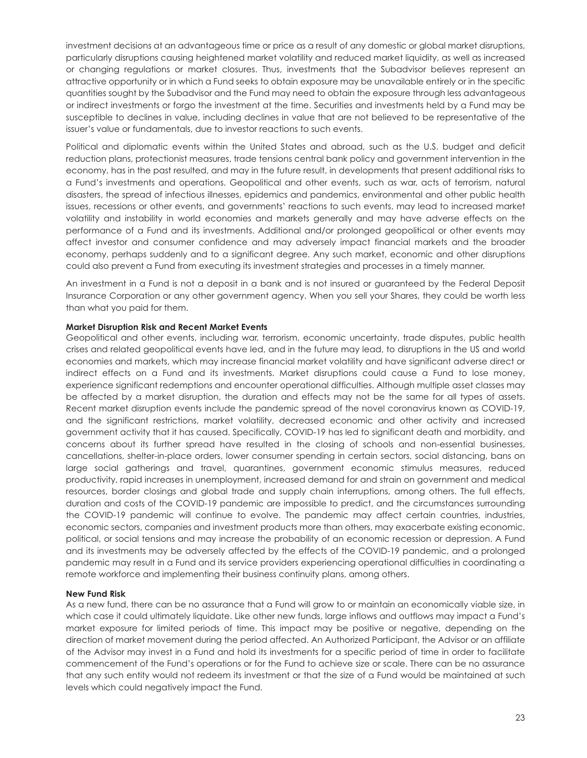investment decisions at an advantageous time or price as a result of any domestic or global market disruptions, particularly disruptions causing heightened market volatility and reduced market liquidity, as well as increased or changing regulations or market closures. Thus, investments that the Subadvisor believes represent an attractive opportunity or in which a Fund seeks to obtain exposure may be unavailable entirely or in the specific quantities sought by the Subadvisor and the Fund may need to obtain the exposure through less advantageous or indirect investments or forgo the investment at the time. Securities and investments held by a Fund may be susceptible to declines in value, including declines in value that are not believed to be representative of the issuer's value or fundamentals, due to investor reactions to such events.

Political and diplomatic events within the United States and abroad, such as the U.S. budget and deficit reduction plans, protectionist measures, trade tensions central bank policy and government intervention in the economy, has in the past resulted, and may in the future result, in developments that present additional risks to a Fund's investments and operations. Geopolitical and other events, such as war, acts of terrorism, natural disasters, the spread of infectious illnesses, epidemics and pandemics, environmental and other public health issues, recessions or other events, and governments' reactions to such events, may lead to increased market volatility and instability in world economies and markets generally and may have adverse effects on the performance of a Fund and its investments. Additional and/or prolonged geopolitical or other events may affect investor and consumer confidence and may adversely impact financial markets and the broader economy, perhaps suddenly and to a significant degree. Any such market, economic and other disruptions could also prevent a Fund from executing its investment strategies and processes in a timely manner.

An investment in a Fund is not a deposit in a bank and is not insured or guaranteed by the Federal Deposit Insurance Corporation or any other government agency. When you sell your Shares, they could be worth less than what you paid for them.

#### **Market Disruption Risk and Recent Market Events**

Geopolitical and other events, including war, terrorism, economic uncertainty, trade disputes, public health crises and related geopolitical events have led, and in the future may lead, to disruptions in the US and world economies and markets, which may increase financial market volatility and have significant adverse direct or indirect effects on a Fund and its investments. Market disruptions could cause a Fund to lose money, experience significant redemptions and encounter operational difficulties. Although multiple asset classes may be affected by a market disruption, the duration and effects may not be the same for all types of assets. Recent market disruption events include the pandemic spread of the novel coronavirus known as COVID-19, and the significant restrictions, market volatility, decreased economic and other activity and increased government activity that it has caused. Specifically, COVID-19 has led to significant death and morbidity, and concerns about its further spread have resulted in the closing of schools and non-essential businesses, cancellations, shelter-in-place orders, lower consumer spending in certain sectors, social distancing, bans on large social gatherings and travel, quarantines, government economic stimulus measures, reduced productivity, rapid increases in unemployment, increased demand for and strain on government and medical resources, border closings and global trade and supply chain interruptions, among others. The full effects, duration and costs of the COVID-19 pandemic are impossible to predict, and the circumstances surrounding the COVID-19 pandemic will continue to evolve. The pandemic may affect certain countries, industries, economic sectors, companies and investment products more than others, may exacerbate existing economic, political, or social tensions and may increase the probability of an economic recession or depression. A Fund and its investments may be adversely affected by the effects of the COVID-19 pandemic, and a prolonged pandemic may result in a Fund and its service providers experiencing operational difficulties in coordinating a remote workforce and implementing their business continuity plans, among others.

#### **New Fund Risk**

As a new fund, there can be no assurance that a Fund will grow to or maintain an economically viable size, in which case it could ultimately liquidate. Like other new funds, large inflows and outflows may impact a Fund's market exposure for limited periods of time. This impact may be positive or negative, depending on the direction of market movement during the period affected. An Authorized Participant, the Advisor or an affiliate of the Advisor may invest in a Fund and hold its investments for a specific period of time in order to facilitate commencement of the Fund's operations or for the Fund to achieve size or scale. There can be no assurance that any such entity would not redeem its investment or that the size of a Fund would be maintained at such levels which could negatively impact the Fund.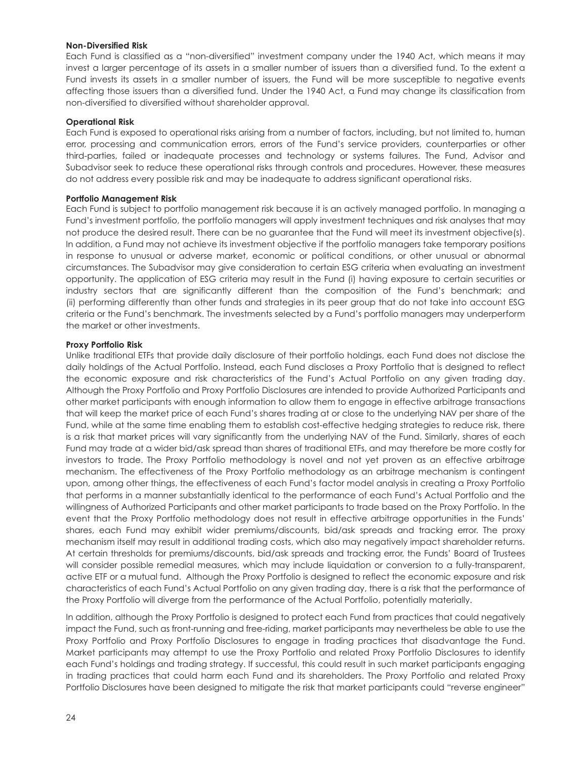#### **Non-Diversified Risk**

Each Fund is classified as a "non-diversified" investment company under the 1940 Act, which means it may invest a larger percentage of its assets in a smaller number of issuers than a diversified fund. To the extent a Fund invests its assets in a smaller number of issuers, the Fund will be more susceptible to negative events affecting those issuers than a diversified fund. Under the 1940 Act, a Fund may change its classification from non-diversified to diversified without shareholder approval.

#### **Operational Risk**

Each Fund is exposed to operational risks arising from a number of factors, including, but not limited to, human error, processing and communication errors, errors of the Fund's service providers, counterparties or other third-parties, failed or inadequate processes and technology or systems failures. The Fund, Advisor and Subadvisor seek to reduce these operational risks through controls and procedures. However, these measures do not address every possible risk and may be inadequate to address significant operational risks.

#### **Portfolio Management Risk**

Each Fund is subject to portfolio management risk because it is an actively managed portfolio. In managing a Fund's investment portfolio, the portfolio managers will apply investment techniques and risk analyses that may not produce the desired result. There can be no guarantee that the Fund will meet its investment objective(s). In addition, a Fund may not achieve its investment objective if the portfolio managers take temporary positions in response to unusual or adverse market, economic or political conditions, or other unusual or abnormal circumstances. The Subadvisor may give consideration to certain ESG criteria when evaluating an investment opportunity. The application of ESG criteria may result in the Fund (i) having exposure to certain securities or industry sectors that are significantly different than the composition of the Fund's benchmark; and (ii) performing differently than other funds and strategies in its peer group that do not take into account ESG criteria or the Fund's benchmark. The investments selected by a Fund's portfolio managers may underperform the market or other investments.

#### **Proxy Portfolio Risk**

Unlike traditional ETFs that provide daily disclosure of their portfolio holdings, each Fund does not disclose the daily holdings of the Actual Portfolio. Instead, each Fund discloses a Proxy Portfolio that is designed to reflect the economic exposure and risk characteristics of the Fund's Actual Portfolio on any given trading day. Although the Proxy Portfolio and Proxy Portfolio Disclosures are intended to provide Authorized Participants and other market participants with enough information to allow them to engage in effective arbitrage transactions that will keep the market price of each Fund's shares trading at or close to the underlying NAV per share of the Fund, while at the same time enabling them to establish cost-effective hedging strategies to reduce risk, there is a risk that market prices will vary significantly from the underlying NAV of the Fund. Similarly, shares of each Fund may trade at a wider bid/ask spread than shares of traditional ETFs, and may therefore be more costly for investors to trade. The Proxy Portfolio methodology is novel and not yet proven as an effective arbitrage mechanism. The effectiveness of the Proxy Portfolio methodology as an arbitrage mechanism is contingent upon, among other things, the effectiveness of each Fund's factor model analysis in creating a Proxy Portfolio that performs in a manner substantially identical to the performance of each Fund's Actual Portfolio and the willingness of Authorized Participants and other market participants to trade based on the Proxy Portfolio. In the event that the Proxy Portfolio methodology does not result in effective arbitrage opportunities in the Funds' shares, each Fund may exhibit wider premiums/discounts, bid/ask spreads and tracking error. The proxy mechanism itself may result in additional trading costs, which also may negatively impact shareholder returns. At certain thresholds for premiums/discounts, bid/ask spreads and tracking error, the Funds' Board of Trustees will consider possible remedial measures, which may include liquidation or conversion to a fully-transparent, active ETF or a mutual fund. Although the Proxy Portfolio is designed to reflect the economic exposure and risk characteristics of each Fund's Actual Portfolio on any given trading day, there is a risk that the performance of the Proxy Portfolio will diverge from the performance of the Actual Portfolio, potentially materially.

In addition, although the Proxy Portfolio is designed to protect each Fund from practices that could negatively impact the Fund, such as front-running and free-riding, market participants may nevertheless be able to use the Proxy Portfolio and Proxy Portfolio Disclosures to engage in trading practices that disadvantage the Fund. Market participants may attempt to use the Proxy Portfolio and related Proxy Portfolio Disclosures to identify each Fund's holdings and trading strategy. If successful, this could result in such market participants engaging in trading practices that could harm each Fund and its shareholders. The Proxy Portfolio and related Proxy Portfolio Disclosures have been designed to mitigate the risk that market participants could "reverse engineer"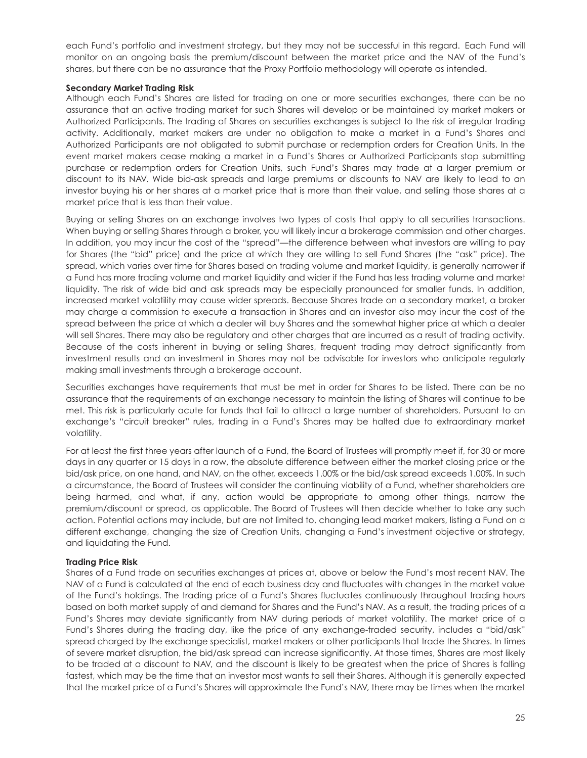each Fund's portfolio and investment strategy, but they may not be successful in this regard. Each Fund will monitor on an ongoing basis the premium/discount between the market price and the NAV of the Fund's shares, but there can be no assurance that the Proxy Portfolio methodology will operate as intended.

#### **Secondary Market Trading Risk**

Although each Fund's Shares are listed for trading on one or more securities exchanges, there can be no assurance that an active trading market for such Shares will develop or be maintained by market makers or Authorized Participants. The trading of Shares on securities exchanges is subject to the risk of irregular trading activity. Additionally, market makers are under no obligation to make a market in a Fund's Shares and Authorized Participants are not obligated to submit purchase or redemption orders for Creation Units. In the event market makers cease making a market in a Fund's Shares or Authorized Participants stop submitting purchase or redemption orders for Creation Units, such Fund's Shares may trade at a larger premium or discount to its NAV. Wide bid-ask spreads and large premiums or discounts to NAV are likely to lead to an investor buying his or her shares at a market price that is more than their value, and selling those shares at a market price that is less than their value.

Buying or selling Shares on an exchange involves two types of costs that apply to all securities transactions. When buying or selling Shares through a broker, you will likely incur a brokerage commission and other charges. In addition, you may incur the cost of the "spread"—the difference between what investors are willing to pay for Shares (the "bid" price) and the price at which they are willing to sell Fund Shares (the "ask" price). The spread, which varies over time for Shares based on trading volume and market liquidity, is generally narrower if a Fund has more trading volume and market liquidity and wider if the Fund has less trading volume and market liquidity. The risk of wide bid and ask spreads may be especially pronounced for smaller funds. In addition, increased market volatility may cause wider spreads. Because Shares trade on a secondary market, a broker may charge a commission to execute a transaction in Shares and an investor also may incur the cost of the spread between the price at which a dealer will buy Shares and the somewhat higher price at which a dealer will sell Shares. There may also be regulatory and other charges that are incurred as a result of trading activity. Because of the costs inherent in buying or selling Shares, frequent trading may detract significantly from investment results and an investment in Shares may not be advisable for investors who anticipate regularly making small investments through a brokerage account.

Securities exchanges have requirements that must be met in order for Shares to be listed. There can be no assurance that the requirements of an exchange necessary to maintain the listing of Shares will continue to be met. This risk is particularly acute for funds that fail to attract a large number of shareholders. Pursuant to an exchange's "circuit breaker" rules, trading in a Fund's Shares may be halted due to extraordinary market volatility.

For at least the first three years after launch of a Fund, the Board of Trustees will promptly meet if, for 30 or more days in any quarter or 15 days in a row, the absolute difference between either the market closing price or the bid/ask price, on one hand, and NAV, on the other, exceeds 1.00% or the bid/ask spread exceeds 1.00%. In such a circumstance, the Board of Trustees will consider the continuing viability of a Fund, whether shareholders are being harmed, and what, if any, action would be appropriate to among other things, narrow the premium/discount or spread, as applicable. The Board of Trustees will then decide whether to take any such action. Potential actions may include, but are not limited to, changing lead market makers, listing a Fund on a different exchange, changing the size of Creation Units, changing a Fund's investment objective or strategy, and liquidating the Fund.

#### **Trading Price Risk**

Shares of a Fund trade on securities exchanges at prices at, above or below the Fund's most recent NAV. The NAV of a Fund is calculated at the end of each business day and fluctuates with changes in the market value of the Fund's holdings. The trading price of a Fund's Shares fluctuates continuously throughout trading hours based on both market supply of and demand for Shares and the Fund's NAV. As a result, the trading prices of a Fund's Shares may deviate significantly from NAV during periods of market volatility. The market price of a Fund's Shares during the trading day, like the price of any exchange-traded security, includes a "bid/ask" spread charged by the exchange specialist, market makers or other participants that trade the Shares. In times of severe market disruption, the bid/ask spread can increase significantly. At those times, Shares are most likely to be traded at a discount to NAV, and the discount is likely to be greatest when the price of Shares is falling fastest, which may be the time that an investor most wants to sell their Shares. Although it is generally expected that the market price of a Fund's Shares will approximate the Fund's NAV, there may be times when the market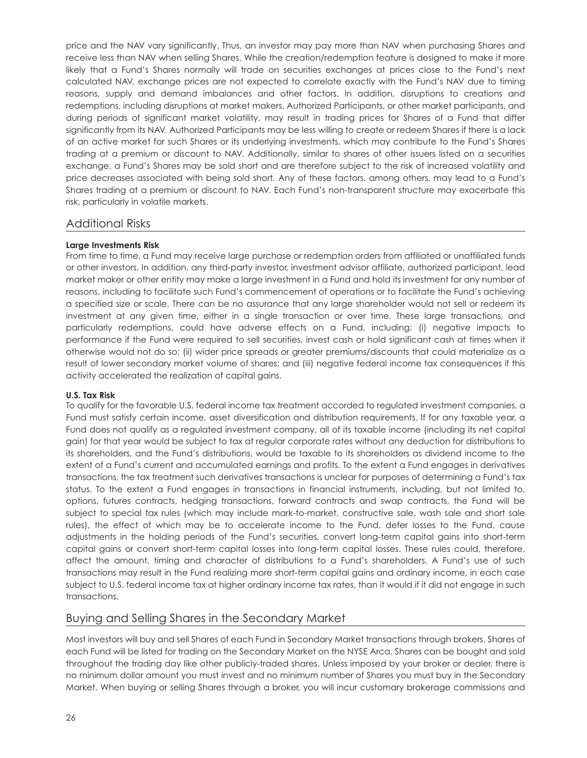price and the NAV vary significantly. Thus, an investor may pay more than NAV when purchasing Shares and receive less than NAV when selling Shares. While the creation/redemption feature is designed to make it more likely that a Fund's Shares normally will trade on securities exchanges at prices close to the Fund's next calculated NAV, exchange prices are not expected to correlate exactly with the Fund's NAV due to timing reasons, supply and demand imbalances and other factors. In addition, disruptions to creations and redemptions, including disruptions at market makers, Authorized Participants, or other market participants, and during periods of significant market volatility, may result in trading prices for Shares of a Fund that differ significantly from its NAV. Authorized Participants may be less willing to create or redeem Shares if there is a lack of an active market for such Shares or its underlying investments, which may contribute to the Fund's Shares trading at a premium or discount to NAV. Additionally, similar to shares of other issuers listed on a securities exchange, a Fund's Shares may be sold short and are therefore subject to the risk of increased volatility and price decreases associated with being sold short. Any of these factors, among others, may lead to a Fund's Shares trading at a premium or discount to NAV. Each Fund's non-transparent structure may exacerbate this risk, particularly in volatile markets.

## Additional Risks

### **Large Investments Risk**

From time to time, a Fund may receive large purchase or redemption orders from affiliated or unaffiliated funds or other investors. In addition, any third-party investor, investment advisor affiliate, authorized participant, lead market maker or other entity may make a large investment in a Fund and hold its investment for any number of reasons, including to facilitate such Fund's commencement of operations or to facilitate the Fund's achieving a specified size or scale. There can be no assurance that any large shareholder would not sell or redeem its investment at any given time, either in a single transaction or over time. These large transactions, and particularly redemptions, could have adverse effects on a Fund, including: (i) negative impacts to performance if the Fund were required to sell securities, invest cash or hold significant cash at times when it otherwise would not do so; (ii) wider price spreads or greater premiums/discounts that could materialize as a result of lower secondary market volume of shares; and (iii) negative federal income tax consequences if this activity accelerated the realization of capital gains.

#### **U.S. Tax Risk**

To qualify for the favorable U.S. federal income tax treatment accorded to regulated investment companies, a Fund must satisfy certain income, asset diversification and distribution requirements. If for any taxable year, a Fund does not qualify as a regulated investment company, all of its taxable income (including its net capital gain) for that year would be subject to tax at regular corporate rates without any deduction for distributions to its shareholders, and the Fund's distributions, would be taxable to its shareholders as dividend income to the extent of a Fund's current and accumulated earnings and profits. To the extent a Fund engages in derivatives transactions, the tax treatment such derivatives transactions is unclear for purposes of determining a Fund's tax status. To the extent a Fund engages in transactions in financial instruments, including, but not limited to, options, futures contracts, hedging transactions, forward contracts and swap contracts, the Fund will be subject to special tax rules (which may include mark-to-market, constructive sale, wash sale and short sale rules), the effect of which may be to accelerate income to the Fund, defer losses to the Fund, cause adjustments in the holding periods of the Fund's securities, convert long-term capital gains into short-term capital gains or convert short-term capital losses into long-term capital losses. These rules could, therefore, affect the amount, timing and character of distributions to a Fund's shareholders. A Fund's use of such transactions may result in the Fund realizing more short-term capital gains and ordinary income, in each case subject to U.S. federal income tax at higher ordinary income tax rates, than it would if it did not engage in such transactions.

## Buying and Selling Shares in the Secondary Market

Most investors will buy and sell Shares of each Fund in Secondary Market transactions through brokers. Shares of each Fund will be listed for trading on the Secondary Market on the NYSE Arca. Shares can be bought and sold throughout the trading day like other publicly-traded shares. Unless imposed by your broker or dealer, there is no minimum dollar amount you must invest and no minimum number of Shares you must buy in the Secondary Market. When buying or selling Shares through a broker, you will incur customary brokerage commissions and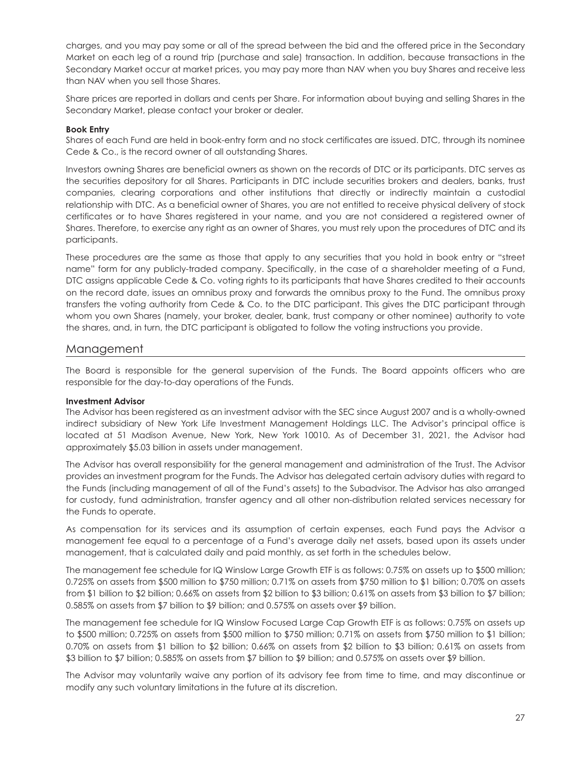charges, and you may pay some or all of the spread between the bid and the offered price in the Secondary Market on each leg of a round trip (purchase and sale) transaction. In addition, because transactions in the Secondary Market occur at market prices, you may pay more than NAV when you buy Shares and receive less than NAV when you sell those Shares.

Share prices are reported in dollars and cents per Share. For information about buying and selling Shares in the Secondary Market, please contact your broker or dealer.

#### **Book Entry**

Shares of each Fund are held in book-entry form and no stock certificates are issued. DTC, through its nominee Cede & Co., is the record owner of all outstanding Shares.

Investors owning Shares are beneficial owners as shown on the records of DTC or its participants. DTC serves as the securities depository for all Shares. Participants in DTC include securities brokers and dealers, banks, trust companies, clearing corporations and other institutions that directly or indirectly maintain a custodial relationship with DTC. As a beneficial owner of Shares, you are not entitled to receive physical delivery of stock certificates or to have Shares registered in your name, and you are not considered a registered owner of Shares. Therefore, to exercise any right as an owner of Shares, you must rely upon the procedures of DTC and its participants.

These procedures are the same as those that apply to any securities that you hold in book entry or "street name" form for any publicly-traded company. Specifically, in the case of a shareholder meeting of a Fund, DTC assigns applicable Cede & Co. voting rights to its participants that have Shares credited to their accounts on the record date, issues an omnibus proxy and forwards the omnibus proxy to the Fund. The omnibus proxy transfers the voting authority from Cede & Co. to the DTC participant. This gives the DTC participant through whom you own Shares (namely, your broker, dealer, bank, trust company or other nominee) authority to vote the shares, and, in turn, the DTC participant is obligated to follow the voting instructions you provide.

#### Management

The Board is responsible for the general supervision of the Funds. The Board appoints officers who are responsible for the day-to-day operations of the Funds.

#### **Investment Advisor**

The Advisor has been registered as an investment advisor with the SEC since August 2007 and is a wholly-owned indirect subsidiary of New York Life Investment Management Holdings LLC. The Advisor's principal office is located at 51 Madison Avenue, New York, New York 10010. As of December 31, 2021, the Advisor had approximately \$5.03 billion in assets under management.

The Advisor has overall responsibility for the general management and administration of the Trust. The Advisor provides an investment program for the Funds. The Advisor has delegated certain advisory duties with regard to the Funds (including management of all of the Fund's assets) to the Subadvisor. The Advisor has also arranged for custody, fund administration, transfer agency and all other non-distribution related services necessary for the Funds to operate.

As compensation for its services and its assumption of certain expenses, each Fund pays the Advisor a management fee equal to a percentage of a Fund's average daily net assets, based upon its assets under management, that is calculated daily and paid monthly, as set forth in the schedules below.

The management fee schedule for IQ Winslow Large Growth ETF is as follows: 0.75% on assets up to \$500 million; 0.725% on assets from \$500 million to \$750 million; 0.71% on assets from \$750 million to \$1 billion; 0.70% on assets from \$1 billion to \$2 billion; 0.66% on assets from \$2 billion to \$3 billion; 0.61% on assets from \$3 billion to \$7 billion; 0.585% on assets from \$7 billion to \$9 billion; and 0.575% on assets over \$9 billion.

The management fee schedule for IQ Winslow Focused Large Cap Growth ETF is as follows: 0.75% on assets up to \$500 million; 0.725% on assets from \$500 million to \$750 million; 0.71% on assets from \$750 million to \$1 billion; 0.70% on assets from \$1 billion to \$2 billion; 0.66% on assets from \$2 billion to \$3 billion; 0.61% on assets from \$3 billion to \$7 billion; 0.585% on assets from \$7 billion to \$9 billion; and 0.575% on assets over \$9 billion.

The Advisor may voluntarily waive any portion of its advisory fee from time to time, and may discontinue or modify any such voluntary limitations in the future at its discretion.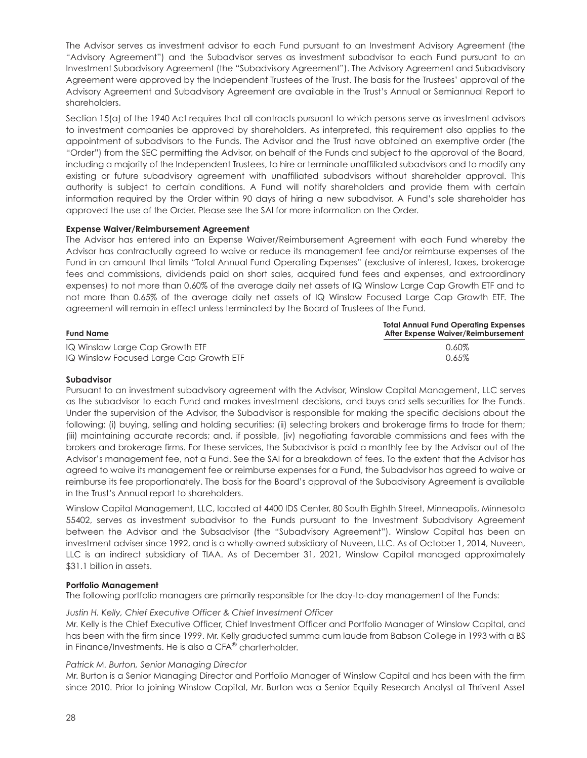The Advisor serves as investment advisor to each Fund pursuant to an Investment Advisory Agreement (the "Advisory Agreement") and the Subadvisor serves as investment subadvisor to each Fund pursuant to an Investment Subadvisory Agreement (the "Subadvisory Agreement"). The Advisory Agreement and Subadvisory Agreement were approved by the Independent Trustees of the Trust. The basis for the Trustees' approval of the Advisory Agreement and Subadvisory Agreement are available in the Trust's Annual or Semiannual Report to shareholders.

Section 15(a) of the 1940 Act requires that all contracts pursuant to which persons serve as investment advisors to investment companies be approved by shareholders. As interpreted, this requirement also applies to the appointment of subadvisors to the Funds. The Advisor and the Trust have obtained an exemptive order (the "Order") from the SEC permitting the Advisor, on behalf of the Funds and subject to the approval of the Board, including a majority of the Independent Trustees, to hire or terminate unaffiliated subadvisors and to modify any existing or future subadvisory agreement with unaffiliated subadvisors without shareholder approval. This authority is subject to certain conditions. A Fund will notify shareholders and provide them with certain information required by the Order within 90 days of hiring a new subadvisor. A Fund's sole shareholder has approved the use of the Order. Please see the SAI for more information on the Order.

#### **Expense Waiver/Reimbursement Agreement**

The Advisor has entered into an Expense Waiver/Reimbursement Agreement with each Fund whereby the Advisor has contractually agreed to waive or reduce its management fee and/or reimburse expenses of the Fund in an amount that limits "Total Annual Fund Operating Expenses" (exclusive of interest, taxes, brokerage fees and commissions, dividends paid on short sales, acquired fund fees and expenses, and extraordinary expenses) to not more than 0.60% of the average daily net assets of IQ Winslow Large Cap Growth ETF and to not more than 0.65% of the average daily net assets of IQ Winslow Focused Large Cap Growth ETF. The agreement will remain in effect unless terminated by the Board of Trustees of the Fund.

| <b>Fund Name</b>                        | <b>Total Annual Fund Operating Expenses</b><br>After Expense Waiver/Reimbursement |
|-----------------------------------------|-----------------------------------------------------------------------------------|
| IQ Winslow Large Cap Growth ETF         | 0.60%                                                                             |
| IQ Winslow Focused Large Cap Growth ETF | 0.65%                                                                             |

#### **Subadvisor**

Pursuant to an investment subadvisory agreement with the Advisor, Winslow Capital Management, LLC serves as the subadvisor to each Fund and makes investment decisions, and buys and sells securities for the Funds. Under the supervision of the Advisor, the Subadvisor is responsible for making the specific decisions about the following: (i) buying, selling and holding securities; (ii) selecting brokers and brokerage firms to trade for them; (iii) maintaining accurate records; and, if possible, (iv) negotiating favorable commissions and fees with the brokers and brokerage firms. For these services, the Subadvisor is paid a monthly fee by the Advisor out of the Advisor's management fee, not a Fund. See the SAI for a breakdown of fees. To the extent that the Advisor has agreed to waive its management fee or reimburse expenses for a Fund, the Subadvisor has agreed to waive or reimburse its fee proportionately. The basis for the Board's approval of the Subadvisory Agreement is available in the Trust's Annual report to shareholders.

Winslow Capital Management, LLC, located at 4400 IDS Center, 80 South Eighth Street, Minneapolis, Minnesota 55402, serves as investment subadvisor to the Funds pursuant to the Investment Subadvisory Agreement between the Advisor and the Subsadvisor (the "Subadvisory Agreement"). Winslow Capital has been an investment adviser since 1992, and is a wholly-owned subsidiary of Nuveen, LLC. As of October 1, 2014, Nuveen, LLC is an indirect subsidiary of TIAA. As of December 31, 2021, Winslow Capital managed approximately \$31.1 billion in assets.

#### **Portfolio Management**

The following portfolio managers are primarily responsible for the day-to-day management of the Funds:

#### *Justin H. Kelly, Chief Executive Officer & Chief Investment Officer*

Mr. Kelly is the Chief Executive Officer, Chief Investment Officer and Portfolio Manager of Winslow Capital, and has been with the firm since 1999. Mr. Kelly graduated summa cum laude from Babson College in 1993 with a BS in Finance/Investments. He is also a CFA® charterholder.

#### *Patrick M. Burton, Senior Managing Director*

Mr. Burton is a Senior Managing Director and Portfolio Manager of Winslow Capital and has been with the firm since 2010. Prior to joining Winslow Capital, Mr. Burton was a Senior Equity Research Analyst at Thrivent Asset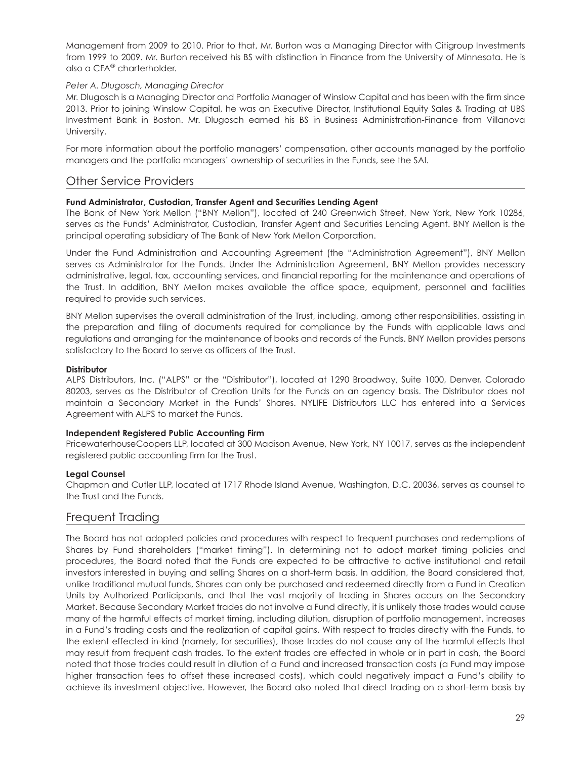Management from 2009 to 2010. Prior to that, Mr. Burton was a Managing Director with Citigroup Investments from 1999 to 2009. Mr. Burton received his BS with distinction in Finance from the University of Minnesota. He is also a CFA® charterholder.

#### *Peter A. Dlugosch, Managing Director*

Mr. Dlugosch is a Managing Director and Portfolio Manager of Winslow Capital and has been with the firm since 2013. Prior to joining Winslow Capital, he was an Executive Director, Institutional Equity Sales & Trading at UBS Investment Bank in Boston. Mr. Dlugosch earned his BS in Business Administration-Finance from Villanova University.

For more information about the portfolio managers' compensation, other accounts managed by the portfolio managers and the portfolio managers' ownership of securities in the Funds, see the SAI.

## Other Service Providers

#### **Fund Administrator, Custodian, Transfer Agent and Securities Lending Agent**

The Bank of New York Mellon ("BNY Mellon"), located at 240 Greenwich Street, New York, New York 10286, serves as the Funds' Administrator, Custodian, Transfer Agent and Securities Lending Agent. BNY Mellon is the principal operating subsidiary of The Bank of New York Mellon Corporation.

Under the Fund Administration and Accounting Agreement (the "Administration Agreement"), BNY Mellon serves as Administrator for the Funds. Under the Administration Agreement, BNY Mellon provides necessary administrative, legal, tax, accounting services, and financial reporting for the maintenance and operations of the Trust. In addition, BNY Mellon makes available the office space, equipment, personnel and facilities required to provide such services.

BNY Mellon supervises the overall administration of the Trust, including, among other responsibilities, assisting in the preparation and filing of documents required for compliance by the Funds with applicable laws and regulations and arranging for the maintenance of books and records of the Funds. BNY Mellon provides persons satisfactory to the Board to serve as officers of the Trust.

#### **Distributor**

ALPS Distributors, Inc. ("ALPS" or the "Distributor"), located at 1290 Broadway, Suite 1000, Denver, Colorado 80203, serves as the Distributor of Creation Units for the Funds on an agency basis. The Distributor does not maintain a Secondary Market in the Funds' Shares. NYLIFE Distributors LLC has entered into a Services Agreement with ALPS to market the Funds.

#### **Independent Registered Public Accounting Firm**

PricewaterhouseCoopers LLP, located at 300 Madison Avenue, New York, NY 10017, serves as the independent registered public accounting firm for the Trust.

#### **Legal Counsel**

Chapman and Cutler LLP, located at 1717 Rhode Island Avenue, Washington, D.C. 20036, serves as counsel to the Trust and the Funds.

## Frequent Trading

The Board has not adopted policies and procedures with respect to frequent purchases and redemptions of Shares by Fund shareholders ("market timing"). In determining not to adopt market timing policies and procedures, the Board noted that the Funds are expected to be attractive to active institutional and retail investors interested in buying and selling Shares on a short-term basis. In addition, the Board considered that, unlike traditional mutual funds, Shares can only be purchased and redeemed directly from a Fund in Creation Units by Authorized Participants, and that the vast majority of trading in Shares occurs on the Secondary Market. Because Secondary Market trades do not involve a Fund directly, it is unlikely those trades would cause many of the harmful effects of market timing, including dilution, disruption of portfolio management, increases in a Fund's trading costs and the realization of capital gains. With respect to trades directly with the Funds, to the extent effected in-kind (namely, for securities), those trades do not cause any of the harmful effects that may result from frequent cash trades. To the extent trades are effected in whole or in part in cash, the Board noted that those trades could result in dilution of a Fund and increased transaction costs (a Fund may impose higher transaction fees to offset these increased costs), which could negatively impact a Fund's ability to achieve its investment objective. However, the Board also noted that direct trading on a short-term basis by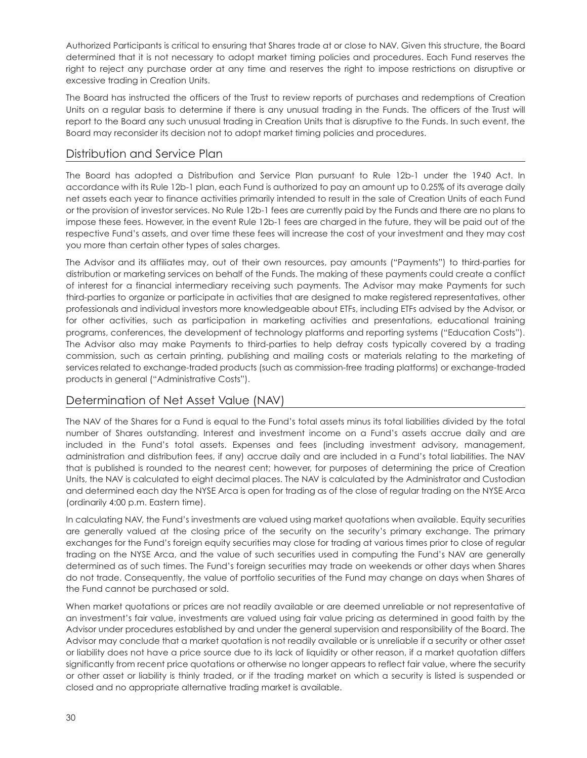Authorized Participants is critical to ensuring that Shares trade at or close to NAV. Given this structure, the Board determined that it is not necessary to adopt market timing policies and procedures. Each Fund reserves the right to reject any purchase order at any time and reserves the right to impose restrictions on disruptive or excessive trading in Creation Units.

The Board has instructed the officers of the Trust to review reports of purchases and redemptions of Creation Units on a regular basis to determine if there is any unusual trading in the Funds. The officers of the Trust will report to the Board any such unusual trading in Creation Units that is disruptive to the Funds. In such event, the Board may reconsider its decision not to adopt market timing policies and procedures.

## Distribution and Service Plan

The Board has adopted a Distribution and Service Plan pursuant to Rule 12b-1 under the 1940 Act. In accordance with its Rule 12b-1 plan, each Fund is authorized to pay an amount up to 0.25% of its average daily net assets each year to finance activities primarily intended to result in the sale of Creation Units of each Fund or the provision of investor services. No Rule 12b-1 fees are currently paid by the Funds and there are no plans to impose these fees. However, in the event Rule 12b-1 fees are charged in the future, they will be paid out of the respective Fund's assets, and over time these fees will increase the cost of your investment and they may cost you more than certain other types of sales charges.

The Advisor and its affiliates may, out of their own resources, pay amounts ("Payments") to third-parties for distribution or marketing services on behalf of the Funds. The making of these payments could create a conflict of interest for a financial intermediary receiving such payments. The Advisor may make Payments for such third-parties to organize or participate in activities that are designed to make registered representatives, other professionals and individual investors more knowledgeable about ETFs, including ETFs advised by the Advisor, or for other activities, such as participation in marketing activities and presentations, educational training programs, conferences, the development of technology platforms and reporting systems ("Education Costs"). The Advisor also may make Payments to third-parties to help defray costs typically covered by a trading commission, such as certain printing, publishing and mailing costs or materials relating to the marketing of services related to exchange-traded products (such as commission-free trading platforms) or exchange-traded products in general ("Administrative Costs").

## Determination of Net Asset Value (NAV)

The NAV of the Shares for a Fund is equal to the Fund's total assets minus its total liabilities divided by the total number of Shares outstanding. Interest and investment income on a Fund's assets accrue daily and are included in the Fund's total assets. Expenses and fees (including investment advisory, management, administration and distribution fees, if any) accrue daily and are included in a Fund's total liabilities. The NAV that is published is rounded to the nearest cent; however, for purposes of determining the price of Creation Units, the NAV is calculated to eight decimal places. The NAV is calculated by the Administrator and Custodian and determined each day the NYSE Arca is open for trading as of the close of regular trading on the NYSE Arca (ordinarily 4:00 p.m. Eastern time).

In calculating NAV, the Fund's investments are valued using market quotations when available. Equity securities are generally valued at the closing price of the security on the security's primary exchange. The primary exchanges for the Fund's foreign equity securities may close for trading at various times prior to close of regular trading on the NYSE Arca, and the value of such securities used in computing the Fund's NAV are generally determined as of such times. The Fund's foreign securities may trade on weekends or other days when Shares do not trade. Consequently, the value of portfolio securities of the Fund may change on days when Shares of the Fund cannot be purchased or sold.

When market quotations or prices are not readily available or are deemed unreliable or not representative of an investment's fair value, investments are valued using fair value pricing as determined in good faith by the Advisor under procedures established by and under the general supervision and responsibility of the Board. The Advisor may conclude that a market quotation is not readily available or is unreliable if a security or other asset or liability does not have a price source due to its lack of liquidity or other reason, if a market quotation differs significantly from recent price quotations or otherwise no longer appears to reflect fair value, where the security or other asset or liability is thinly traded, or if the trading market on which a security is listed is suspended or closed and no appropriate alternative trading market is available.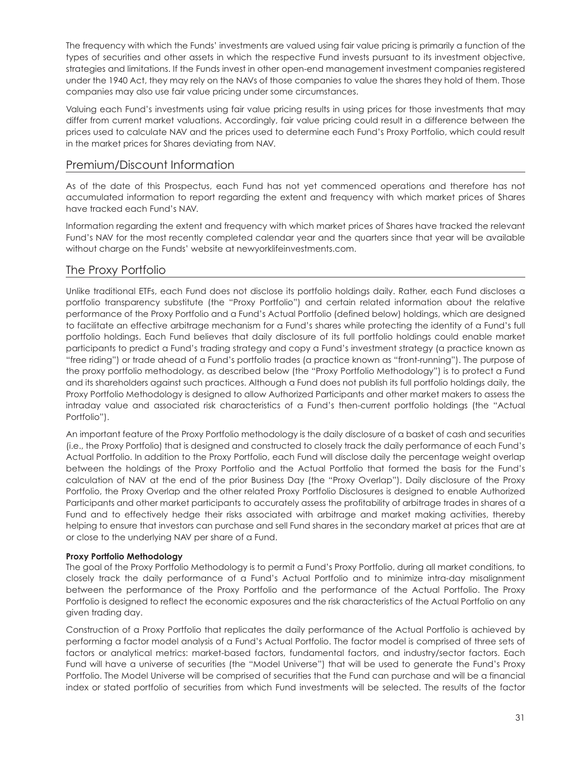The frequency with which the Funds' investments are valued using fair value pricing is primarily a function of the types of securities and other assets in which the respective Fund invests pursuant to its investment objective, strategies and limitations. If the Funds invest in other open-end management investment companies registered under the 1940 Act, they may rely on the NAVs of those companies to value the shares they hold of them. Those companies may also use fair value pricing under some circumstances.

Valuing each Fund's investments using fair value pricing results in using prices for those investments that may differ from current market valuations. Accordingly, fair value pricing could result in a difference between the prices used to calculate NAV and the prices used to determine each Fund's Proxy Portfolio, which could result in the market prices for Shares deviating from NAV.

## Premium/Discount Information

As of the date of this Prospectus, each Fund has not yet commenced operations and therefore has not accumulated information to report regarding the extent and frequency with which market prices of Shares have tracked each Fund's NAV.

Information regarding the extent and frequency with which market prices of Shares have tracked the relevant Fund's NAV for the most recently completed calendar year and the quarters since that year will be available without charge on the Funds' website at newyorklifeinvestments.com.

# The Proxy Portfolio

Unlike traditional ETFs, each Fund does not disclose its portfolio holdings daily. Rather, each Fund discloses a portfolio transparency substitute (the "Proxy Portfolio") and certain related information about the relative performance of the Proxy Portfolio and a Fund's Actual Portfolio (defined below) holdings, which are designed to facilitate an effective arbitrage mechanism for a Fund's shares while protecting the identity of a Fund's full portfolio holdings. Each Fund believes that daily disclosure of its full portfolio holdings could enable market participants to predict a Fund's trading strategy and copy a Fund's investment strategy (a practice known as "free riding") or trade ahead of a Fund's portfolio trades (a practice known as "front-running"). The purpose of the proxy portfolio methodology, as described below (the "Proxy Portfolio Methodology") is to protect a Fund and its shareholders against such practices. Although a Fund does not publish its full portfolio holdings daily, the Proxy Portfolio Methodology is designed to allow Authorized Participants and other market makers to assess the intraday value and associated risk characteristics of a Fund's then-current portfolio holdings (the "Actual Portfolio").

An important feature of the Proxy Portfolio methodology is the daily disclosure of a basket of cash and securities (i.e., the Proxy Portfolio) that is designed and constructed to closely track the daily performance of each Fund's Actual Portfolio. In addition to the Proxy Portfolio, each Fund will disclose daily the percentage weight overlap between the holdings of the Proxy Portfolio and the Actual Portfolio that formed the basis for the Fund's calculation of NAV at the end of the prior Business Day (the "Proxy Overlap"). Daily disclosure of the Proxy Portfolio, the Proxy Overlap and the other related Proxy Portfolio Disclosures is designed to enable Authorized Participants and other market participants to accurately assess the profitability of arbitrage trades in shares of a Fund and to effectively hedge their risks associated with arbitrage and market making activities, thereby helping to ensure that investors can purchase and sell Fund shares in the secondary market at prices that are at or close to the underlying NAV per share of a Fund.

## **Proxy Portfolio Methodology**

The goal of the Proxy Portfolio Methodology is to permit a Fund's Proxy Portfolio, during all market conditions, to closely track the daily performance of a Fund's Actual Portfolio and to minimize intra-day misalignment between the performance of the Proxy Portfolio and the performance of the Actual Portfolio. The Proxy Portfolio is designed to reflect the economic exposures and the risk characteristics of the Actual Portfolio on any given trading day.

Construction of a Proxy Portfolio that replicates the daily performance of the Actual Portfolio is achieved by performing a factor model analysis of a Fund's Actual Portfolio. The factor model is comprised of three sets of factors or analytical metrics: market-based factors, fundamental factors, and industry/sector factors. Each Fund will have a universe of securities (the "Model Universe") that will be used to generate the Fund's Proxy Portfolio. The Model Universe will be comprised of securities that the Fund can purchase and will be a financial index or stated portfolio of securities from which Fund investments will be selected. The results of the factor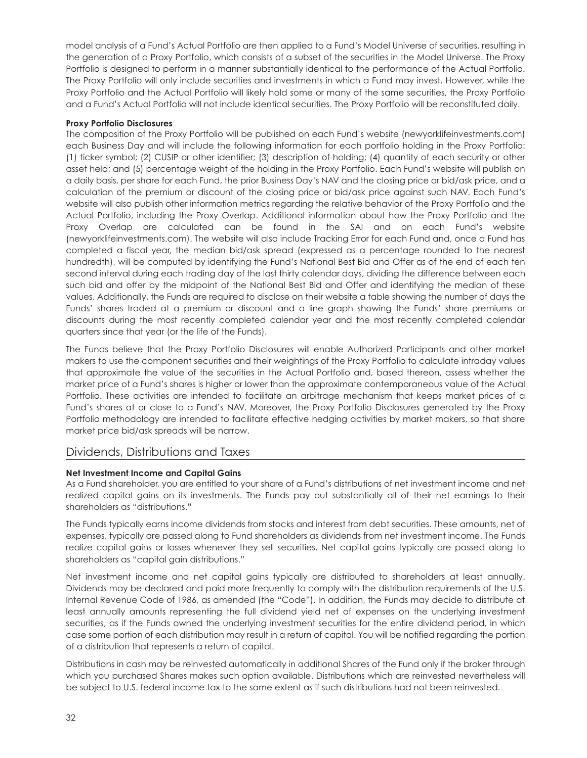model analysis of a Fund's Actual Portfolio are then applied to a Fund's Model Universe of securities, resulting in the generation of a Proxy Portfolio, which consists of a subset of the securities in the Model Universe. The Proxy Portfolio is designed to perform in a manner substantially identical to the performance of the Actual Portfolio. The Proxy Portfolio will only include securities and investments in which a Fund may invest. However, while the Proxy Portfolio and the Actual Portfolio will likely hold some or many of the same securities, the Proxy Portfolio and a Fund's Actual Portfolio will not include identical securities. The Proxy Portfolio will be reconstituted daily.

#### **Proxy Portfolio Disclosures**

The composition of the Proxy Portfolio will be published on each Fund's website (newyorklifeinvestments.com) each Business Day and will include the following information for each portfolio holding in the Proxy Portfolio: (1) ticker symbol; (2) CUSIP or other identifier; (3) description of holding; (4) quantity of each security or other asset held; and (5) percentage weight of the holding in the Proxy Portfolio. Each Fund's website will publish on a daily basis, per share for each Fund, the prior Business Day's NAV and the closing price or bid/ask price, and a calculation of the premium or discount of the closing price or bid/ask price against such NAV. Each Fund's website will also publish other information metrics regarding the relative behavior of the Proxy Portfolio and the Actual Portfolio, including the Proxy Overlap. Additional information about how the Proxy Portfolio and the Proxy Overlap are calculated can be found in the SAI and on each Fund's website (newyorklifeinvestments.com). The website will also include Tracking Error for each Fund and, once a Fund has completed a fiscal year, the median bid/ask spread (expressed as a percentage rounded to the nearest hundredth), will be computed by identifying the Fund's National Best Bid and Offer as of the end of each ten second interval during each trading day of the last thirty calendar days, dividing the difference between each such bid and offer by the midpoint of the National Best Bid and Offer and identifying the median of these values. Additionally, the Funds are required to disclose on their website a table showing the number of days the Funds' shares traded at a premium or discount and a line graph showing the Funds' share premiums or discounts during the most recently completed calendar year and the most recently completed calendar quarters since that year (or the life of the Funds).

The Funds believe that the Proxy Portfolio Disclosures will enable Authorized Participants and other market makers to use the component securities and their weightings of the Proxy Portfolio to calculate intraday values that approximate the value of the securities in the Actual Portfolio and, based thereon, assess whether the market price of a Fund's shares is higher or lower than the approximate contemporaneous value of the Actual Portfolio. These activities are intended to facilitate an arbitrage mechanism that keeps market prices of a Fund's shares at or close to a Fund's NAV. Moreover, the Proxy Portfolio Disclosures generated by the Proxy Portfolio methodology are intended to facilitate effective hedging activities by market makers, so that share market price bid/ask spreads will be narrow.

## Dividends, Distributions and Taxes

#### **Net Investment Income and Capital Gains**

As a Fund shareholder, you are entitled to your share of a Fund's distributions of net investment income and net realized capital gains on its investments. The Funds pay out substantially all of their net earnings to their shareholders as "distributions."

The Funds typically earns income dividends from stocks and interest from debt securities. These amounts, net of expenses, typically are passed along to Fund shareholders as dividends from net investment income. The Funds realize capital gains or losses whenever they sell securities. Net capital gains typically are passed along to shareholders as "capital gain distributions."

Net investment income and net capital gains typically are distributed to shareholders at least annually. Dividends may be declared and paid more frequently to comply with the distribution requirements of the U.S. Internal Revenue Code of 1986, as amended (the "Code"). In addition, the Funds may decide to distribute at least annually amounts representing the full dividend yield net of expenses on the underlying investment securities, as if the Funds owned the underlying investment securities for the entire dividend period, in which case some portion of each distribution may result in a return of capital. You will be notified regarding the portion of a distribution that represents a return of capital.

Distributions in cash may be reinvested automatically in additional Shares of the Fund only if the broker through which you purchased Shares makes such option available. Distributions which are reinvested nevertheless will be subject to U.S. federal income tax to the same extent as if such distributions had not been reinvested.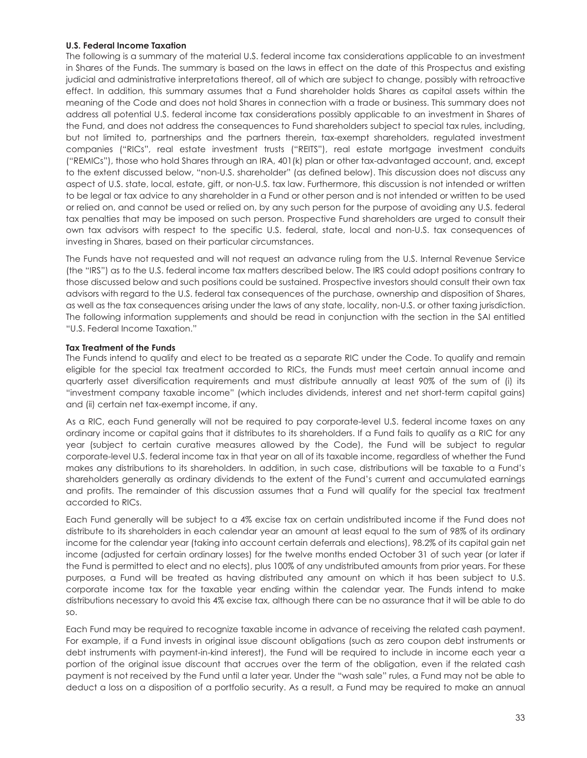#### **U.S. Federal Income Taxation**

The following is a summary of the material U.S. federal income tax considerations applicable to an investment in Shares of the Funds. The summary is based on the laws in effect on the date of this Prospectus and existing judicial and administrative interpretations thereof, all of which are subject to change, possibly with retroactive effect. In addition, this summary assumes that a Fund shareholder holds Shares as capital assets within the meaning of the Code and does not hold Shares in connection with a trade or business. This summary does not address all potential U.S. federal income tax considerations possibly applicable to an investment in Shares of the Fund, and does not address the consequences to Fund shareholders subject to special tax rules, including, but not limited to, partnerships and the partners therein, tax-exempt shareholders, regulated investment companies ("RICs", real estate investment trusts ("REITS"), real estate mortgage investment conduits ("REMICs"), those who hold Shares through an IRA, 401(k) plan or other tax-advantaged account, and, except to the extent discussed below, "non-U.S. shareholder" (as defined below). This discussion does not discuss any aspect of U.S. state, local, estate, gift, or non-U.S. tax law. Furthermore, this discussion is not intended or written to be legal or tax advice to any shareholder in a Fund or other person and is not intended or written to be used or relied on, and cannot be used or relied on, by any such person for the purpose of avoiding any U.S. federal tax penalties that may be imposed on such person. Prospective Fund shareholders are urged to consult their own tax advisors with respect to the specific U.S. federal, state, local and non-U.S. tax consequences of investing in Shares, based on their particular circumstances.

The Funds have not requested and will not request an advance ruling from the U.S. Internal Revenue Service (the "IRS") as to the U.S. federal income tax matters described below. The IRS could adopt positions contrary to those discussed below and such positions could be sustained. Prospective investors should consult their own tax advisors with regard to the U.S. federal tax consequences of the purchase, ownership and disposition of Shares, as well as the tax consequences arising under the laws of any state, locality, non-U.S. or other taxing jurisdiction. The following information supplements and should be read in conjunction with the section in the SAI entitled "U.S. Federal Income Taxation."

#### **Tax Treatment of the Funds**

The Funds intend to qualify and elect to be treated as a separate RIC under the Code. To qualify and remain eligible for the special tax treatment accorded to RICs, the Funds must meet certain annual income and quarterly asset diversification requirements and must distribute annually at least 90% of the sum of (i) its "investment company taxable income" (which includes dividends, interest and net short-term capital gains) and (ii) certain net tax-exempt income, if any.

As a RIC, each Fund generally will not be required to pay corporate-level U.S. federal income taxes on any ordinary income or capital gains that it distributes to its shareholders. If a Fund fails to qualify as a RIC for any year (subject to certain curative measures allowed by the Code), the Fund will be subject to regular corporate-level U.S. federal income tax in that year on all of its taxable income, regardless of whether the Fund makes any distributions to its shareholders. In addition, in such case, distributions will be taxable to a Fund's shareholders generally as ordinary dividends to the extent of the Fund's current and accumulated earnings and profits. The remainder of this discussion assumes that a Fund will qualify for the special tax treatment accorded to RICs.

Each Fund generally will be subject to a 4% excise tax on certain undistributed income if the Fund does not distribute to its shareholders in each calendar year an amount at least equal to the sum of 98% of its ordinary income for the calendar year (taking into account certain deferrals and elections), 98.2% of its capital gain net income (adjusted for certain ordinary losses) for the twelve months ended October 31 of such year (or later if the Fund is permitted to elect and no elects), plus 100% of any undistributed amounts from prior years. For these purposes, a Fund will be treated as having distributed any amount on which it has been subject to U.S. corporate income tax for the taxable year ending within the calendar year. The Funds intend to make distributions necessary to avoid this 4% excise tax, although there can be no assurance that it will be able to do so.

Each Fund may be required to recognize taxable income in advance of receiving the related cash payment. For example, if a Fund invests in original issue discount obligations (such as zero coupon debt instruments or debt instruments with payment-in-kind interest), the Fund will be required to include in income each year a portion of the original issue discount that accrues over the term of the obligation, even if the related cash payment is not received by the Fund until a later year. Under the "wash sale" rules, a Fund may not be able to deduct a loss on a disposition of a portfolio security. As a result, a Fund may be required to make an annual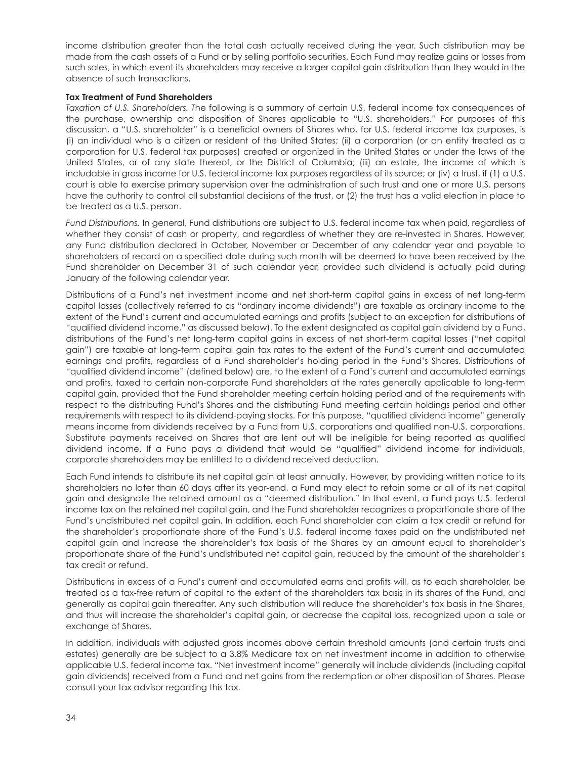income distribution greater than the total cash actually received during the year. Such distribution may be made from the cash assets of a Fund or by selling portfolio securities. Each Fund may realize gains or losses from such sales, in which event its shareholders may receive a larger capital gain distribution than they would in the absence of such transactions.

#### **Tax Treatment of Fund Shareholders**

*Taxation of U.S. Shareholders. T*he following is a summary of certain U.S. federal income tax consequences of the purchase, ownership and disposition of Shares applicable to "U.S. shareholders." For purposes of this discussion, a "U.S. shareholder" is a beneficial owners of Shares who, for U.S. federal income tax purposes, is (i) an individual who is a citizen or resident of the United States; (ii) a corporation (or an entity treated as a corporation for U.S. federal tax purposes) created or organized in the United States or under the laws of the United States, or of any state thereof, or the District of Columbia; (iii) an estate, the income of which is includable in gross income for U.S. federal income tax purposes regardless of its source; or (iv) a trust, if (1) a U.S. court is able to exercise primary supervision over the administration of such trust and one or more U.S. persons have the authority to control all substantial decisions of the trust, or (2) the trust has a valid election in place to be treated as a U.S. person.

*Fund Distributions.* In general, Fund distributions are subject to U.S. federal income tax when paid, regardless of whether they consist of cash or property, and regardless of whether they are re-invested in Shares. However, any Fund distribution declared in October, November or December of any calendar year and payable to shareholders of record on a specified date during such month will be deemed to have been received by the Fund shareholder on December 31 of such calendar year, provided such dividend is actually paid during January of the following calendar year.

Distributions of a Fund's net investment income and net short-term capital gains in excess of net long-term capital losses (collectively referred to as "ordinary income dividends") are taxable as ordinary income to the extent of the Fund's current and accumulated earnings and profits (subject to an exception for distributions of "qualified dividend income," as discussed below). To the extent designated as capital gain dividend by a Fund, distributions of the Fund's net long-term capital gains in excess of net short-term capital losses ("net capital gain") are taxable at long-term capital gain tax rates to the extent of the Fund's current and accumulated earnings and profits, regardless of a Fund shareholder's holding period in the Fund's Shares. Distributions of "qualified dividend income" (defined below) are, to the extent of a Fund's current and accumulated earnings and profits, taxed to certain non-corporate Fund shareholders at the rates generally applicable to long-term capital gain, provided that the Fund shareholder meeting certain holding period and of the requirements with respect to the distributing Fund's Shares and the distributing Fund meeting certain holdings period and other requirements with respect to its dividend-paying stocks. For this purpose, "qualified dividend income" generally means income from dividends received by a Fund from U.S. corporations and qualified non-U.S. corporations. Substitute payments received on Shares that are lent out will be ineligible for being reported as qualified dividend income. If a Fund pays a dividend that would be "qualified" dividend income for individuals, corporate shareholders may be entitled to a dividend received deduction.

Each Fund intends to distribute its net capital gain at least annually. However, by providing written notice to its shareholders no later than 60 days after its year-end, a Fund may elect to retain some or all of its net capital gain and designate the retained amount as a "deemed distribution." In that event, a Fund pays U.S. federal income tax on the retained net capital gain, and the Fund shareholder recognizes a proportionate share of the Fund's undistributed net capital gain. In addition, each Fund shareholder can claim a tax credit or refund for the shareholder's proportionate share of the Fund's U.S. federal income taxes paid on the undistributed net capital gain and increase the shareholder's tax basis of the Shares by an amount equal to shareholder's proportionate share of the Fund's undistributed net capital gain, reduced by the amount of the shareholder's tax credit or refund.

Distributions in excess of a Fund's current and accumulated earns and profits will, as to each shareholder, be treated as a tax-free return of capital to the extent of the shareholders tax basis in its shares of the Fund, and generally as capital gain thereafter. Any such distribution will reduce the shareholder's tax basis in the Shares, and thus will increase the shareholder's capital gain, or decrease the capital loss, recognized upon a sale or exchange of Shares.

In addition, individuals with adjusted gross incomes above certain threshold amounts (and certain trusts and estates) generally are be subject to a 3.8% Medicare tax on net investment income in addition to otherwise applicable U.S. federal income tax. "Net investment income" generally will include dividends (including capital gain dividends) received from a Fund and net gains from the redemption or other disposition of Shares. Please consult your tax advisor regarding this tax.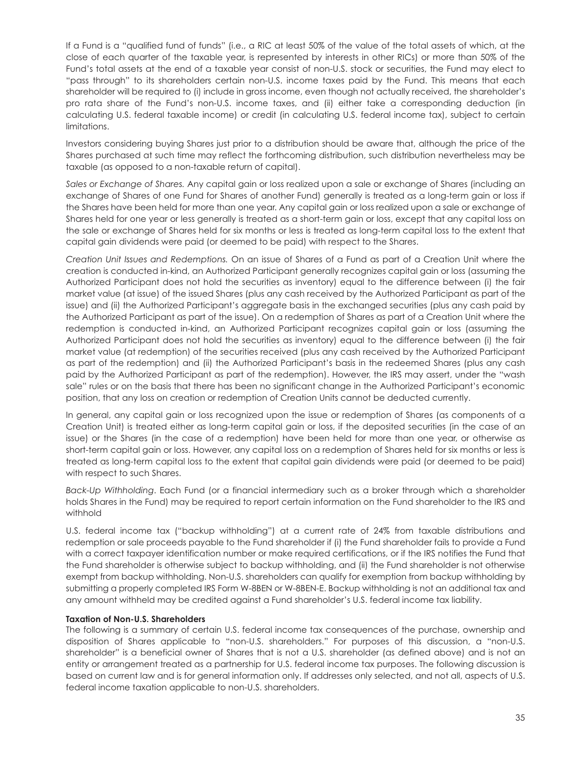If a Fund is a "qualified fund of funds" (i.e., a RIC at least 50% of the value of the total assets of which, at the close of each quarter of the taxable year, is represented by interests in other RICs) or more than 50% of the Fund's total assets at the end of a taxable year consist of non-U.S. stock or securities, the Fund may elect to "pass through" to its shareholders certain non-U.S. income taxes paid by the Fund. This means that each shareholder will be required to (i) include in gross income, even though not actually received, the shareholder's pro rata share of the Fund's non-U.S. income taxes, and (ii) either take a corresponding deduction (in calculating U.S. federal taxable income) or credit (in calculating U.S. federal income tax), subject to certain limitations.

Investors considering buying Shares just prior to a distribution should be aware that, although the price of the Shares purchased at such time may reflect the forthcoming distribution, such distribution nevertheless may be taxable (as opposed to a non-taxable return of capital).

*Sales or Exchange of Shares.* Any capital gain or loss realized upon a sale or exchange of Shares (including an exchange of Shares of one Fund for Shares of another Fund) generally is treated as a long-term gain or loss if the Shares have been held for more than one year. Any capital gain or loss realized upon a sale or exchange of Shares held for one year or less generally is treated as a short-term gain or loss, except that any capital loss on the sale or exchange of Shares held for six months or less is treated as long-term capital loss to the extent that capital gain dividends were paid (or deemed to be paid) with respect to the Shares.

*Creation Unit Issues and Redemptions.* On an issue of Shares of a Fund as part of a Creation Unit where the creation is conducted in-kind, an Authorized Participant generally recognizes capital gain or loss (assuming the Authorized Participant does not hold the securities as inventory) equal to the difference between (i) the fair market value (at issue) of the issued Shares (plus any cash received by the Authorized Participant as part of the issue) and (ii) the Authorized Participant's aggregate basis in the exchanged securities (plus any cash paid by the Authorized Participant as part of the issue). On a redemption of Shares as part of a Creation Unit where the redemption is conducted in-kind, an Authorized Participant recognizes capital gain or loss (assuming the Authorized Participant does not hold the securities as inventory) equal to the difference between (i) the fair market value (at redemption) of the securities received (plus any cash received by the Authorized Participant as part of the redemption) and (ii) the Authorized Participant's basis in the redeemed Shares (plus any cash paid by the Authorized Participant as part of the redemption). However, the IRS may assert, under the "wash sale" rules or on the basis that there has been no significant change in the Authorized Participant's economic position, that any loss on creation or redemption of Creation Units cannot be deducted currently.

In general, any capital gain or loss recognized upon the issue or redemption of Shares (as components of a Creation Unit) is treated either as long-term capital gain or loss, if the deposited securities (in the case of an issue) or the Shares (in the case of a redemption) have been held for more than one year, or otherwise as short-term capital gain or loss. However, any capital loss on a redemption of Shares held for six months or less is treated as long-term capital loss to the extent that capital gain dividends were paid (or deemed to be paid) with respect to such Shares.

*Back-Up Withholding*. Each Fund (or a financial intermediary such as a broker through which a shareholder holds Shares in the Fund) may be required to report certain information on the Fund shareholder to the IRS and withhold

U.S. federal income tax ("backup withholding") at a current rate of 24% from taxable distributions and redemption or sale proceeds payable to the Fund shareholder if (i) the Fund shareholder fails to provide a Fund with a correct taxpayer identification number or make required certifications, or if the IRS notifies the Fund that the Fund shareholder is otherwise subject to backup withholding, and (ii) the Fund shareholder is not otherwise exempt from backup withholding. Non-U.S. shareholders can qualify for exemption from backup withholding by submitting a properly completed IRS Form W-8BEN or W-8BEN-E. Backup withholding is not an additional tax and any amount withheld may be credited against a Fund shareholder's U.S. federal income tax liability.

#### **Taxation of Non-U.S. Shareholders**

The following is a summary of certain U.S. federal income tax consequences of the purchase, ownership and disposition of Shares applicable to "non-U.S. shareholders." For purposes of this discussion, a "non-U.S. shareholder" is a beneficial owner of Shares that is not a U.S. shareholder (as defined above) and is not an entity or arrangement treated as a partnership for U.S. federal income tax purposes. The following discussion is based on current law and is for general information only. If addresses only selected, and not all, aspects of U.S. federal income taxation applicable to non-U.S. shareholders.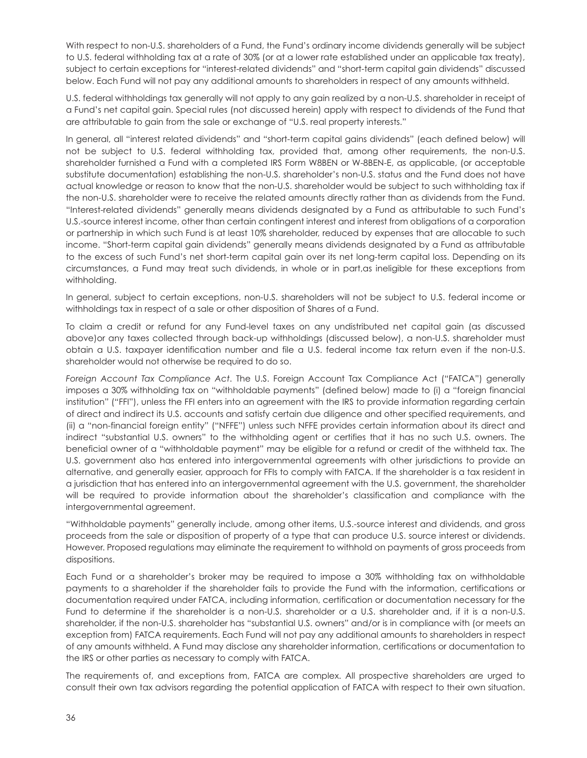With respect to non-U.S. shareholders of a Fund, the Fund's ordinary income dividends generally will be subject to U.S. federal withholding tax at a rate of 30% (or at a lower rate established under an applicable tax treaty), subject to certain exceptions for "interest-related dividends" and "short-term capital gain dividends" discussed below. Each Fund will not pay any additional amounts to shareholders in respect of any amounts withheld.

U.S. federal withholdings tax generally will not apply to any gain realized by a non-U.S. shareholder in receipt of a Fund's net capital gain. Special rules (not discussed herein) apply with respect to dividends of the Fund that are attributable to gain from the sale or exchange of "U.S. real property interests."

In general, all "interest related dividends" and "short-term capital gains dividends" (each defined below) will not be subject to U.S. federal withholding tax, provided that, among other requirements, the non-U.S. shareholder furnished a Fund with a completed IRS Form W8BEN or W-8BEN-E, as applicable, (or acceptable substitute documentation) establishing the non-U.S. shareholder's non-U.S. status and the Fund does not have actual knowledge or reason to know that the non-U.S. shareholder would be subject to such withholding tax if the non-U.S. shareholder were to receive the related amounts directly rather than as dividends from the Fund. "Interest-related dividends" generally means dividends designated by a Fund as attributable to such Fund's U.S.-source interest income, other than certain contingent interest and interest from obligations of a corporation or partnership in which such Fund is at least 10% shareholder, reduced by expenses that are allocable to such income. "Short-term capital gain dividends" generally means dividends designated by a Fund as attributable to the excess of such Fund's net short-term capital gain over its net long-term capital loss. Depending on its circumstances, a Fund may treat such dividends, in whole or in part,as ineligible for these exceptions from withholding.

In general, subject to certain exceptions, non-U.S. shareholders will not be subject to U.S. federal income or withholdings tax in respect of a sale or other disposition of Shares of a Fund.

To claim a credit or refund for any Fund-level taxes on any undistributed net capital gain (as discussed above)or any taxes collected through back-up withholdings (discussed below), a non-U.S. shareholder must obtain a U.S. taxpayer identification number and file a U.S. federal income tax return even if the non-U.S. shareholder would not otherwise be required to do so.

*Foreign Account Tax Compliance Act*. The U.S. Foreign Account Tax Compliance Act ("FATCA") generally imposes a 30% withholding tax on "withholdable payments" (defined below) made to (i) a "foreign financial institution" ("FFI"), unless the FFI enters into an agreement with the IRS to provide information regarding certain of direct and indirect its U.S. accounts and satisfy certain due diligence and other specified requirements, and (ii) a "non-financial foreign entity" ("NFFE") unless such NFFE provides certain information about its direct and indirect "substantial U.S. owners" to the withholding agent or certifies that it has no such U.S. owners. The beneficial owner of a "withholdable payment" may be eligible for a refund or credit of the withheld tax. The U.S. government also has entered into intergovernmental agreements with other jurisdictions to provide an alternative, and generally easier, approach for FFIs to comply with FATCA. If the shareholder is a tax resident in a jurisdiction that has entered into an intergovernmental agreement with the U.S. government, the shareholder will be required to provide information about the shareholder's classification and compliance with the intergovernmental agreement.

"Withholdable payments" generally include, among other items, U.S.-source interest and dividends, and gross proceeds from the sale or disposition of property of a type that can produce U.S. source interest or dividends. However. Proposed regulations may eliminate the requirement to withhold on payments of gross proceeds from dispositions.

Each Fund or a shareholder's broker may be required to impose a 30% withholding tax on withholdable payments to a shareholder if the shareholder fails to provide the Fund with the information, certifications or documentation required under FATCA, including information, certification or documentation necessary for the Fund to determine if the shareholder is a non-U.S. shareholder or a U.S. shareholder and, if it is a non-U.S. shareholder, if the non-U.S. shareholder has "substantial U.S. owners" and/or is in compliance with (or meets an exception from) FATCA requirements. Each Fund will not pay any additional amounts to shareholders in respect of any amounts withheld. A Fund may disclose any shareholder information, certifications or documentation to the IRS or other parties as necessary to comply with FATCA.

The requirements of, and exceptions from, FATCA are complex. All prospective shareholders are urged to consult their own tax advisors regarding the potential application of FATCA with respect to their own situation.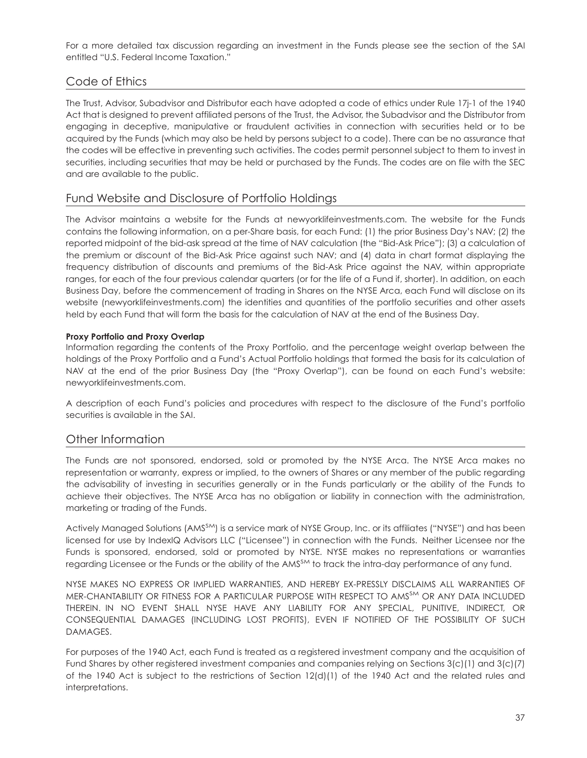For a more detailed tax discussion regarding an investment in the Funds please see the section of the SAI entitled "U.S. Federal Income Taxation."

## Code of Ethics

The Trust, Advisor, Subadvisor and Distributor each have adopted a code of ethics under Rule 17j-1 of the 1940 Act that is designed to prevent affiliated persons of the Trust, the Advisor, the Subadvisor and the Distributor from engaging in deceptive, manipulative or fraudulent activities in connection with securities held or to be acquired by the Funds (which may also be held by persons subject to a code). There can be no assurance that the codes will be effective in preventing such activities. The codes permit personnel subject to them to invest in securities, including securities that may be held or purchased by the Funds. The codes are on file with the SEC and are available to the public.

## Fund Website and Disclosure of Portfolio Holdings

The Advisor maintains a website for the Funds at newyorklifeinvestments.com. The website for the Funds contains the following information, on a per-Share basis, for each Fund: (1) the prior Business Day's NAV; (2) the reported midpoint of the bid-ask spread at the time of NAV calculation (the "Bid-Ask Price"); (3) a calculation of the premium or discount of the Bid-Ask Price against such NAV; and (4) data in chart format displaying the frequency distribution of discounts and premiums of the Bid-Ask Price against the NAV, within appropriate ranges, for each of the four previous calendar quarters (or for the life of a Fund if, shorter). In addition, on each Business Day, before the commencement of trading in Shares on the NYSE Arca, each Fund will disclose on its website (newyorklifeinvestments.com) the identities and quantities of the portfolio securities and other assets held by each Fund that will form the basis for the calculation of NAV at the end of the Business Day.

#### **Proxy Portfolio and Proxy Overlap**

Information regarding the contents of the Proxy Portfolio, and the percentage weight overlap between the holdings of the Proxy Portfolio and a Fund's Actual Portfolio holdings that formed the basis for its calculation of NAV at the end of the prior Business Day (the "Proxy Overlap"), can be found on each Fund's website: newyorklifeinvestments.com.

A description of each Fund's policies and procedures with respect to the disclosure of the Fund's portfolio securities is available in the SAI.

## Other Information

The Funds are not sponsored, endorsed, sold or promoted by the NYSE Arca. The NYSE Arca makes no representation or warranty, express or implied, to the owners of Shares or any member of the public regarding the advisability of investing in securities generally or in the Funds particularly or the ability of the Funds to achieve their objectives. The NYSE Arca has no obligation or liability in connection with the administration, marketing or trading of the Funds.

Actively Managed Solutions (AMS<sup>SM</sup>) is a service mark of NYSE Group, Inc. or its affiliates ("NYSE") and has been licensed for use by IndexIQ Advisors LLC ("Licensee") in connection with the Funds. Neither Licensee nor the Funds is sponsored, endorsed, sold or promoted by NYSE. NYSE makes no representations or warranties regarding Licensee or the Funds or the ability of the AMS<sup>SM</sup> to track the intra-day performance of any fund.

NYSE MAKES NO EXPRESS OR IMPLIED WARRANTIES, AND HEREBY EX-PRESSLY DISCLAIMS ALL WARRANTIES OF MER-CHANTABILITY OR FITNESS FOR A PARTICULAR PURPOSE WITH RESPECT TO AMSSM OR ANY DATA INCLUDED THEREIN. IN NO EVENT SHALL NYSE HAVE ANY LIABILITY FOR ANY SPECIAL, PUNITIVE, INDIRECT, OR CONSEQUENTIAL DAMAGES (INCLUDING LOST PROFITS), EVEN IF NOTIFIED OF THE POSSIBILITY OF SUCH DAMAGES.

For purposes of the 1940 Act, each Fund is treated as a registered investment company and the acquisition of Fund Shares by other registered investment companies and companies relying on Sections 3(c)(1) and 3(c)(7) of the 1940 Act is subject to the restrictions of Section 12(d)(1) of the 1940 Act and the related rules and interpretations.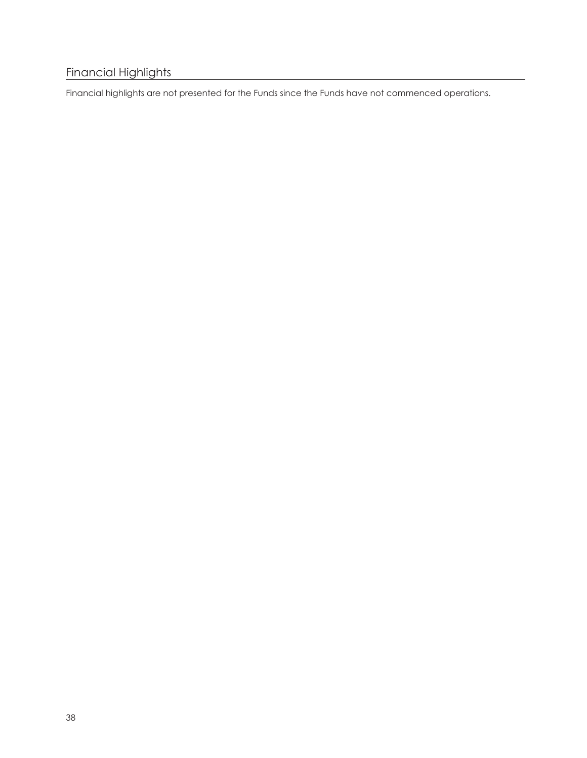# Financial Highlights

Financial highlights are not presented for the Funds since the Funds have not commenced operations.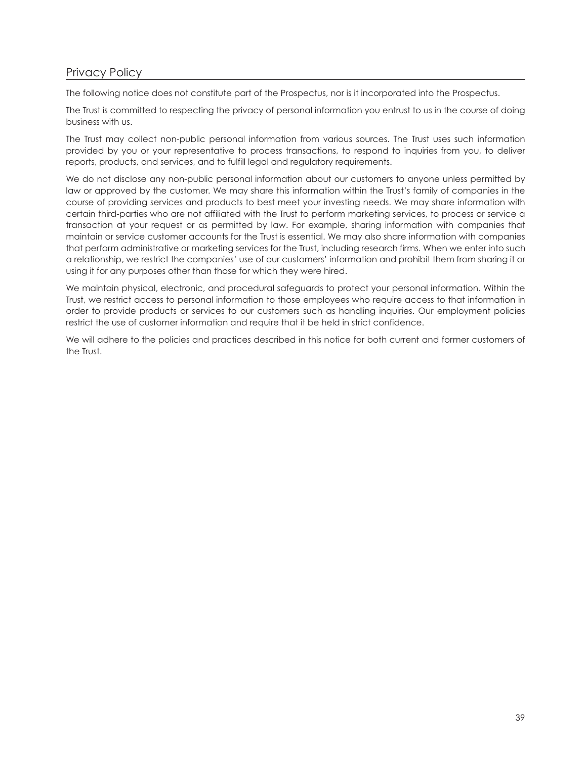# Privacy Policy

The following notice does not constitute part of the Prospectus, nor is it incorporated into the Prospectus.

The Trust is committed to respecting the privacy of personal information you entrust to us in the course of doing business with us.

The Trust may collect non-public personal information from various sources. The Trust uses such information provided by you or your representative to process transactions, to respond to inquiries from you, to deliver reports, products, and services, and to fulfill legal and regulatory requirements.

We do not disclose any non-public personal information about our customers to anyone unless permitted by law or approved by the customer. We may share this information within the Trust's family of companies in the course of providing services and products to best meet your investing needs. We may share information with certain third-parties who are not affiliated with the Trust to perform marketing services, to process or service a transaction at your request or as permitted by law. For example, sharing information with companies that maintain or service customer accounts for the Trust is essential. We may also share information with companies that perform administrative or marketing services for the Trust, including research firms. When we enter into such a relationship, we restrict the companies' use of our customers' information and prohibit them from sharing it or using it for any purposes other than those for which they were hired.

We maintain physical, electronic, and procedural safeguards to protect your personal information. Within the Trust, we restrict access to personal information to those employees who require access to that information in order to provide products or services to our customers such as handling inquiries. Our employment policies restrict the use of customer information and require that it be held in strict confidence.

We will adhere to the policies and practices described in this notice for both current and former customers of the Trust.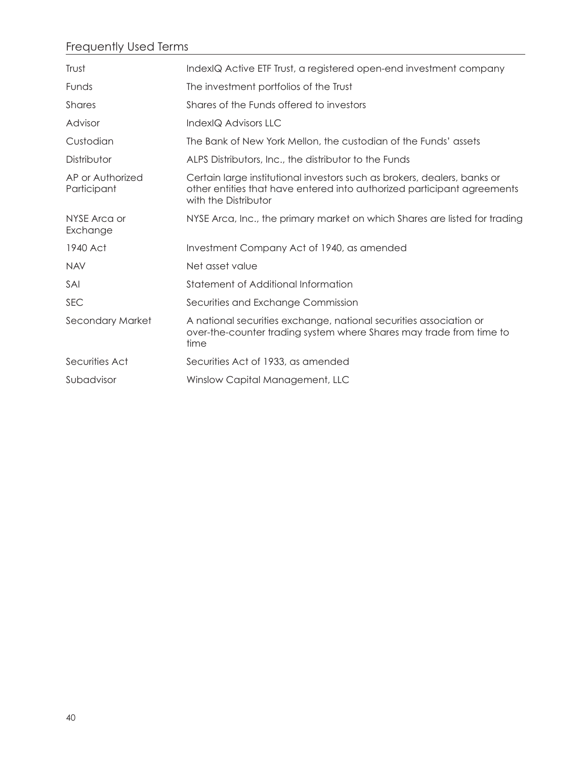# Frequently Used Terms

| Trust                           | IndexIQ Active ETF Trust, a registered open-end investment company                                                                                                          |
|---------------------------------|-----------------------------------------------------------------------------------------------------------------------------------------------------------------------------|
| Funds                           | The investment portfolios of the Trust                                                                                                                                      |
| <b>Shares</b>                   | Shares of the Funds offered to investors                                                                                                                                    |
| Advisor                         | IndexIQ Advisors LLC                                                                                                                                                        |
| Custodian                       | The Bank of New York Mellon, the custodian of the Funds' assets                                                                                                             |
| Distributor                     | ALPS Distributors, Inc., the distributor to the Funds                                                                                                                       |
| AP or Authorized<br>Participant | Certain large institutional investors such as brokers, dealers, banks or<br>other entities that have entered into authorized participant agreements<br>with the Distributor |
| NYSE Arca or<br>Exchange        | NYSE Arca, Inc., the primary market on which Shares are listed for trading                                                                                                  |
| 1940 Act                        | Investment Company Act of 1940, as amended                                                                                                                                  |
| <b>NAV</b>                      | Net asset value                                                                                                                                                             |
| SAI                             | Statement of Additional Information                                                                                                                                         |
| <b>SEC</b>                      | Securities and Exchange Commission                                                                                                                                          |
| Secondary Market                | A national securities exchange, national securities association or<br>over-the-counter trading system where Shares may trade from time to<br>time                           |
| Securities Act                  | Securities Act of 1933, as amended                                                                                                                                          |
| Subadvisor                      | Winslow Capital Management, LLC                                                                                                                                             |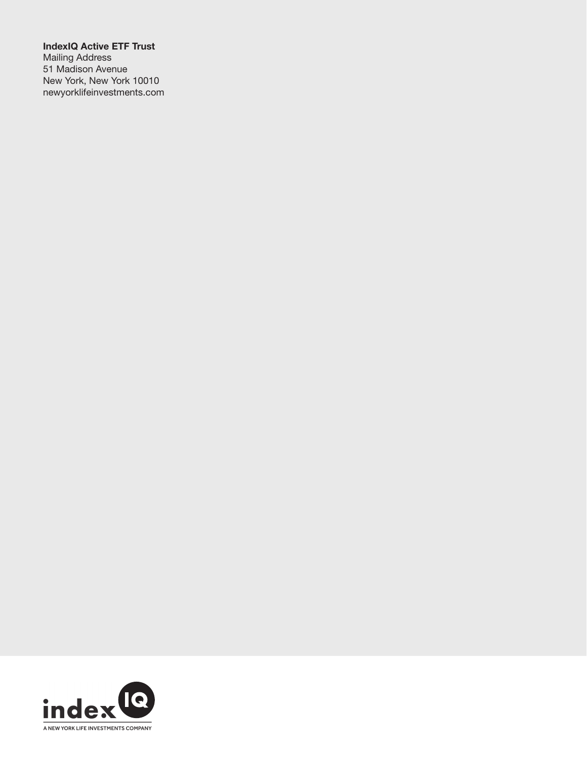IndexIQ Active ETF Trust Mailing Address 51 Madison Avenue New York, New York 10010 newyorklifeinvestments.com